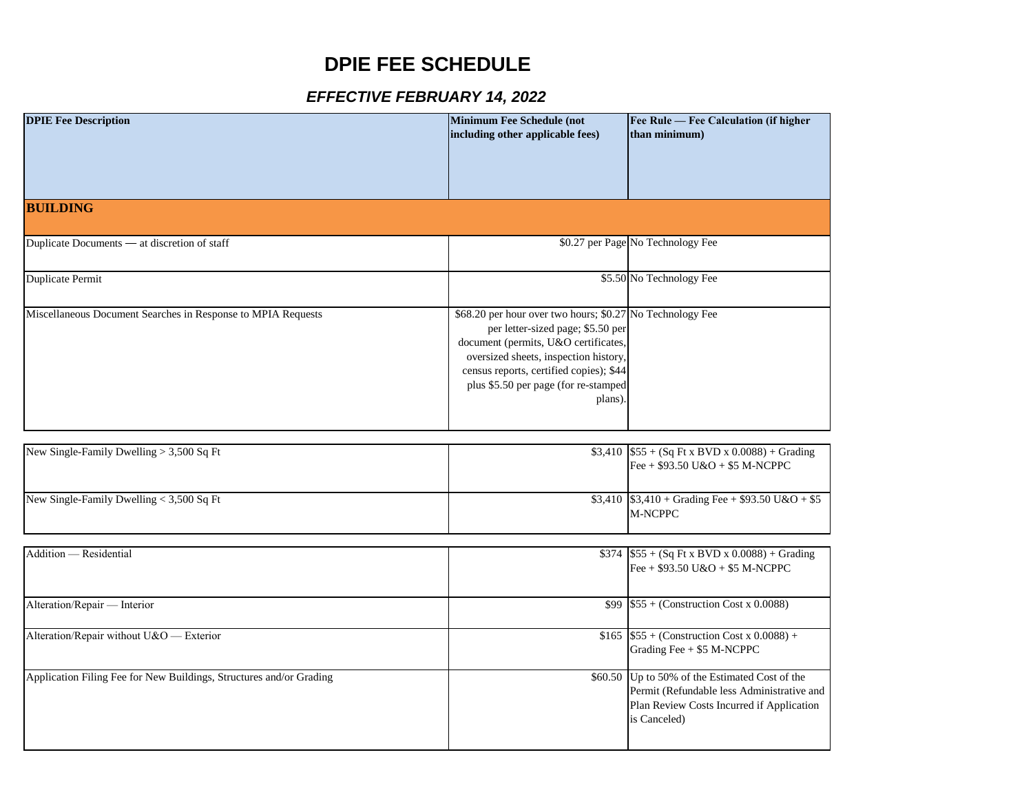## **DPIE FEE SCHEDULE**

## *EFFECTIVE FEBRUARY 14, 2022*

| <b>DPIE Fee Description</b>                                         | Minimum Fee Schedule (not<br>including other applicable fees)                                                                                                                                                                                                                 | Fee Rule - Fee Calculation (if higher<br>than minimum)                                                                                                    |
|---------------------------------------------------------------------|-------------------------------------------------------------------------------------------------------------------------------------------------------------------------------------------------------------------------------------------------------------------------------|-----------------------------------------------------------------------------------------------------------------------------------------------------------|
| <b>BUILDING</b>                                                     |                                                                                                                                                                                                                                                                               |                                                                                                                                                           |
| Duplicate Documents — at discretion of staff                        |                                                                                                                                                                                                                                                                               | \$0.27 per Page No Technology Fee                                                                                                                         |
| <b>Duplicate Permit</b>                                             |                                                                                                                                                                                                                                                                               | \$5.50 No Technology Fee                                                                                                                                  |
| Miscellaneous Document Searches in Response to MPIA Requests        | \$68.20 per hour over two hours; \$0.27 No Technology Fee<br>per letter-sized page; \$5.50 per<br>document (permits, U&O certificates,<br>oversized sheets, inspection history,<br>census reports, certified copies); \$44<br>plus \$5.50 per page (for re-stamped<br>plans). |                                                                                                                                                           |
| New Single-Family Dwelling > 3,500 Sq Ft                            |                                                                                                                                                                                                                                                                               | $$3,410$ \$55 + (Sq Ft x BVD x 0.0088) + Grading                                                                                                          |
|                                                                     |                                                                                                                                                                                                                                                                               | Fee + $$93.50$ U&O + \$5 M-NCPPC                                                                                                                          |
| New Single-Family Dwelling < 3,500 Sq Ft                            |                                                                                                                                                                                                                                                                               | $$3,410$ \$3,410 + Grading Fee + \$93.50 U&O + \$5<br>M-NCPPC                                                                                             |
| Addition - Residential                                              |                                                                                                                                                                                                                                                                               | $$374$ $$55 + (Sq Ft x BVD x 0.0088) + Grading$<br>Fee + $$93.50$ U&O + \$5 M-NCPPC                                                                       |
| Alteration/Repair - Interior                                        |                                                                                                                                                                                                                                                                               | \$99 $$55 + (Construction Cost x 0.0088)$                                                                                                                 |
| Alteration/Repair without U&O - Exterior                            |                                                                                                                                                                                                                                                                               | \$165 \$55 + (Construction Cost x 0.0088) +<br>Grading Fee + \$5 M-NCPPC                                                                                  |
| Application Filing Fee for New Buildings, Structures and/or Grading |                                                                                                                                                                                                                                                                               | \$60.50 Up to 50% of the Estimated Cost of the<br>Permit (Refundable less Administrative and<br>Plan Review Costs Incurred if Application<br>is Canceled) |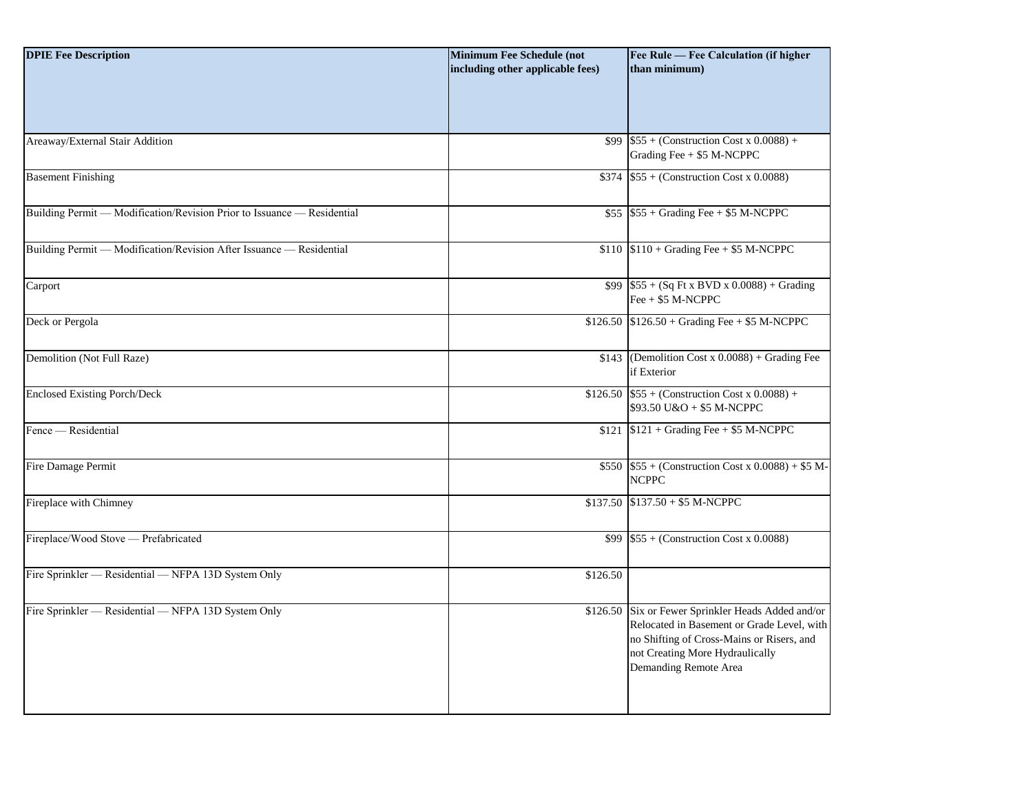| <b>DPIE Fee Description</b>                                             | <b>Minimum Fee Schedule (not</b><br>including other applicable fees) | Fee Rule - Fee Calculation (if higher<br>than minimum)                                                                                                                                           |
|-------------------------------------------------------------------------|----------------------------------------------------------------------|--------------------------------------------------------------------------------------------------------------------------------------------------------------------------------------------------|
|                                                                         |                                                                      |                                                                                                                                                                                                  |
| Areaway/External Stair Addition                                         | \$99                                                                 | $$55 + (Construction Cost x 0.0088) +$<br>Grading Fee + \$5 M-NCPPC                                                                                                                              |
| <b>Basement Finishing</b>                                               | \$374                                                                | $$55 + (Construction Cost x 0.0088)$                                                                                                                                                             |
| Building Permit — Modification/Revision Prior to Issuance — Residential |                                                                      | $$55$ $$55 + Grading$ Fee + \$5 M-NCPPC                                                                                                                                                          |
| Building Permit - Modification/Revision After Issuance - Residential    |                                                                      | $$110 \$110 + Grading$ Fee + \$5 M-NCPPC                                                                                                                                                         |
| Carport                                                                 |                                                                      | $$99$ $$55 + (Sq Ft x BVD x 0.0088) + Grading$<br>$\text{Fe} + \$5 \text{ M-NCPPC}$                                                                                                              |
| Deck or Pergola                                                         |                                                                      | $$126.50$ $$126.50 + Grading$ Fee + \$5 M-NCPPC                                                                                                                                                  |
| Demolition (Not Full Raze)                                              |                                                                      | \$143 (Demolition Cost x $0.0088$ ) + Grading Fee<br>if Exterior                                                                                                                                 |
| <b>Enclosed Existing Porch/Deck</b>                                     |                                                                      | \$126.50 $$55 + (Construction Cost x 0.0088) +$<br>\$93.50 U&O + \$5 M-NCPPC                                                                                                                     |
| Fence — Residential                                                     |                                                                      | $$121$ $$121 + Grading$ Fee + \$5 M-NCPPC                                                                                                                                                        |
| Fire Damage Permit                                                      |                                                                      | \$550 $$55 + (Construction Cost x 0.0088) + $5 M-$<br><b>NCPPC</b>                                                                                                                               |
| Fireplace with Chimney                                                  |                                                                      | $$137.50$ $$137.50 + $5$ M-NCPPC                                                                                                                                                                 |
| Fireplace/Wood Stove - Prefabricated                                    | \$99                                                                 | $$55 + (Construction Cost x 0.0088)$                                                                                                                                                             |
| Fire Sprinkler - Residential - NFPA 13D System Only                     | \$126.50                                                             |                                                                                                                                                                                                  |
| Fire Sprinkler - Residential - NFPA 13D System Only                     | \$126.50                                                             | Six or Fewer Sprinkler Heads Added and/or<br>Relocated in Basement or Grade Level, with<br>no Shifting of Cross-Mains or Risers, and<br>not Creating More Hydraulically<br>Demanding Remote Area |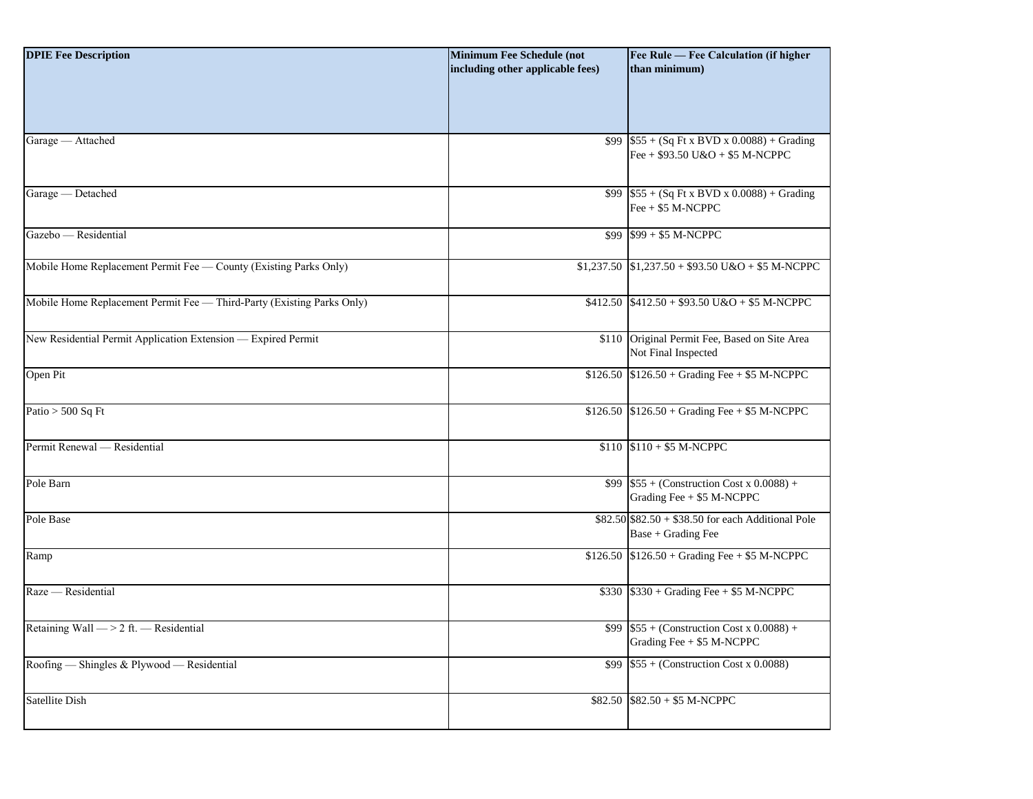| <b>DPIE Fee Description</b>                                            | <b>Minimum Fee Schedule (not</b><br>including other applicable fees) | Fee Rule - Fee Calculation (if higher<br>than minimum)                            |
|------------------------------------------------------------------------|----------------------------------------------------------------------|-----------------------------------------------------------------------------------|
|                                                                        |                                                                      |                                                                                   |
| Garage - Attached                                                      |                                                                      | \$99 $$55 + (Sq Ft x BVD x 0.0088) + Grading$<br>Fee + $$93.50$ U&O + \$5 M-NCPPC |
| Garage - Detached                                                      |                                                                      | \$99 $$55 + (Sq Ft x BVD x 0.0088) + Grading$<br>Fee + \$5 M-NCPPC                |
| Gazebo — Residential                                                   |                                                                      | $$99$ $$99 + $5$ M-NCPPC                                                          |
| Mobile Home Replacement Permit Fee - County (Existing Parks Only)      |                                                                      | $$1,237.50$ $$1,237.50 + $93.50 \text{ U&O} + $5 \text{ M-NCPPC}$                 |
| Mobile Home Replacement Permit Fee - Third-Party (Existing Parks Only) |                                                                      | $$412.50$ $$412.50 + $93.50 \text{ U&O} + $5 \text{ M-NCPPC}$                     |
| New Residential Permit Application Extension - Expired Permit          |                                                                      | \$110 Original Permit Fee, Based on Site Area<br>Not Final Inspected              |
| Open Pit                                                               |                                                                      | \$126.50 $$126.50 + Grading$ Fee + \$5 M-NCPPC                                    |
| Patio $> 500$ Sq Ft                                                    |                                                                      | \$126.50 $$126.50 + Grading$ Fee + \$5 M-NCPPC                                    |
| Permit Renewal - Residential                                           |                                                                      | $$110$ $$110 + $5$ M-NCPPC                                                        |
| Pole Barn                                                              |                                                                      | \$99 $$55 + (Construction Cost x 0.0088) +$<br>Grading Fee + \$5 M-NCPPC          |
| Pole Base                                                              |                                                                      | $$82.50$ $$82.50 + $38.50$ for each Additional Pole<br>Base + Grading Fee         |
| Ramp                                                                   |                                                                      | $$126.50$ $$126.50 + Grading$ Fee + \$5 M-NCPPC                                   |
| Raze - Residential                                                     |                                                                      | $$330$ $$330 + Grading$ Fee + \$5 M-NCPPC                                         |
| Retaining Wall $\rightarrow$ 2 ft. - Residential                       |                                                                      | \$99 $$55 + (Construction Cost x 0.0088) +$<br>Grading Fee + \$5 M-NCPPC          |
| Roofing — Shingles & Plywood — Residential                             |                                                                      | $$99$ $$55 + (Construction Cost x 0.0088)$                                        |
| Satellite Dish                                                         |                                                                      | $$82.50$ $$82.50 + $5$ M-NCPPC                                                    |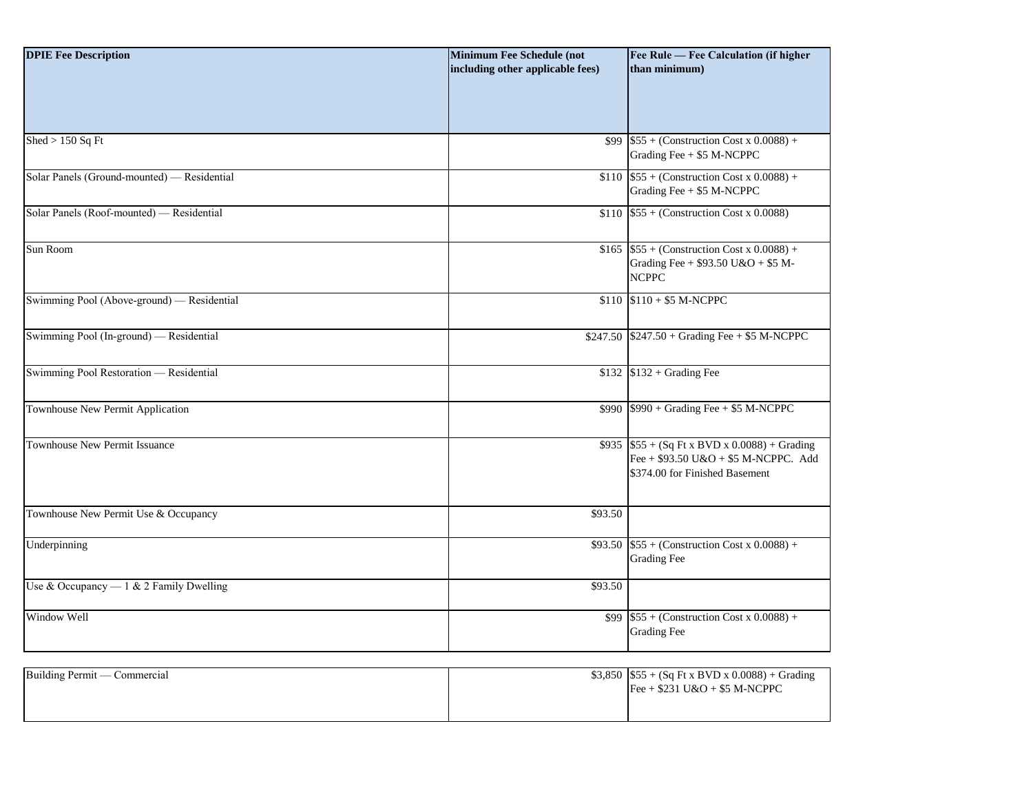| <b>DPIE Fee Description</b>                 | <b>Minimum Fee Schedule (not</b><br>including other applicable fees) | Fee Rule — Fee Calculation (if higher<br>than minimum)                                                                     |
|---------------------------------------------|----------------------------------------------------------------------|----------------------------------------------------------------------------------------------------------------------------|
|                                             |                                                                      |                                                                                                                            |
| Shed $> 150$ Sq Ft                          |                                                                      | $$99$ \$55 + (Construction Cost x 0.0088) +<br>Grading Fee + \$5 M-NCPPC                                                   |
| Solar Panels (Ground-mounted) - Residential |                                                                      | \$110 $$55 + (Construction Cost x 0.0088) +$<br>Grading Fee + \$5 M-NCPPC                                                  |
| Solar Panels (Roof-mounted) — Residential   |                                                                      | $$110$ \$55 + (Construction Cost x 0.0088)                                                                                 |
| Sun Room                                    |                                                                      | \$165 $$55 + (Construction Cost x 0.0088) +$<br>Grading Fee + \$93.50 U&O + \$5 M-<br><b>NCPPC</b>                         |
| Swimming Pool (Above-ground) - Residential  |                                                                      | $$110$ $$110 + $5$ M-NCPPC                                                                                                 |
| Swimming Pool (In-ground) — Residential     |                                                                      | $$247.50$ $$247.50 + Grading$ Fee + \$5 M-NCPPC                                                                            |
| Swimming Pool Restoration - Residential     |                                                                      | $$132$ $$132 + Grading$ Fee                                                                                                |
| Townhouse New Permit Application            |                                                                      | $$990 \& 990 + Grading$ Fee + \$5 M-NCPPC                                                                                  |
| <b>Townhouse New Permit Issuance</b>        |                                                                      | $$935$ $$55 + (Sq Ft x BVD x 0.0088) + Grading$<br>Fee + $$93.50$ U&O + \$5 M-NCPPC. Add<br>\$374.00 for Finished Basement |
| Townhouse New Permit Use & Occupancy        | \$93.50                                                              |                                                                                                                            |
| Underpinning                                |                                                                      | $$93.50$ \$55 + (Construction Cost x 0.0088) +<br><b>Grading Fee</b>                                                       |
| Use & Occupancy $-1$ & 2 Family Dwelling    | \$93.50                                                              |                                                                                                                            |
| Window Well                                 |                                                                      | \$99 $$55 + (Construction Cost x 0.0088) +$<br><b>Grading Fee</b>                                                          |

| Building Permit — Commercial | \$3,850 $$55 + (Sq Ft x BVD x 0.0088) + Grading$ |
|------------------------------|--------------------------------------------------|
|                              | Fee + $$231 \text{ U&O} + $5 \text{ M-NCPPC}$    |
|                              |                                                  |
|                              |                                                  |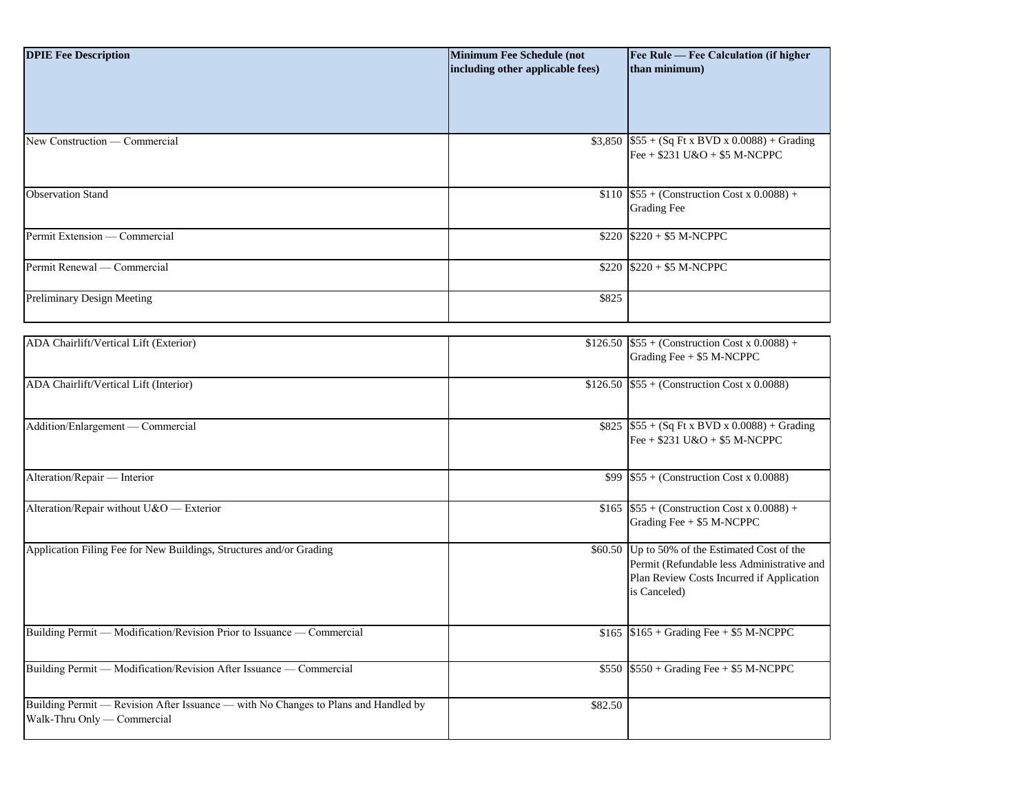| <b>DPIE Fee Description</b>                                                                                        | <b>Minimum Fee Schedule (not</b><br>including other applicable fees) | Fee Rule - Fee Calculation (if higher<br>than minimum)                                                                                                    |
|--------------------------------------------------------------------------------------------------------------------|----------------------------------------------------------------------|-----------------------------------------------------------------------------------------------------------------------------------------------------------|
|                                                                                                                    |                                                                      |                                                                                                                                                           |
| New Construction — Commercial                                                                                      |                                                                      | $$3,850$ \$55 + (Sq Ft x BVD x 0.0088) + Grading<br>Fee + $$231$ U&O + $$5$ M-NCPPC                                                                       |
| <b>Observation Stand</b>                                                                                           |                                                                      | \$110 $$55 + (Construction Cost x 0.0088) +$<br><b>Grading Fee</b>                                                                                        |
| Permit Extension — Commercial                                                                                      |                                                                      | $$220$ $$220 + $5$ M-NCPPC                                                                                                                                |
| Permit Renewal — Commercial                                                                                        |                                                                      | $$220$ $$220 + $5$ M-NCPPC                                                                                                                                |
| Preliminary Design Meeting                                                                                         | \$825                                                                |                                                                                                                                                           |
| ADA Chairlift/Vertical Lift (Exterior)                                                                             |                                                                      | $$126.50$ \$55 + (Construction Cost x 0.0088) +<br>Grading Fee $+$ \$5 M-NCPPC                                                                            |
| ADA Chairlift/Vertical Lift (Interior)                                                                             |                                                                      | \$126.50 $$55 + (Construction Cost x 0.0088)$                                                                                                             |
| Addition/Enlargement - Commercial                                                                                  |                                                                      | $$825$ $$55 + (Sq Ft x BVD x 0.0088) + Grading$<br>Fee + $$231$ U&O + $$5$ M-NCPPC                                                                        |
| Alteration/Repair - Interior                                                                                       |                                                                      | \$99 $$55 + (Construction Cost x 0.0088)$                                                                                                                 |
| Alteration/Repair without U&O - Exterior                                                                           |                                                                      | \$165 \$55 + (Construction Cost x 0.0088) +<br>Grading Fee + \$5 M-NCPPC                                                                                  |
| Application Filing Fee for New Buildings, Structures and/or Grading                                                |                                                                      | \$60.50 Up to 50% of the Estimated Cost of the<br>Permit (Refundable less Administrative and<br>Plan Review Costs Incurred if Application<br>is Canceled) |
| Building Permit — Modification/Revision Prior to Issuance — Commercial                                             |                                                                      | $$165$ $$165 + Grading$ Fee + \$5 M-NCPPC                                                                                                                 |
| Building Permit — Modification/Revision After Issuance — Commercial                                                |                                                                      | $$550$ $$550 + Grading$ Fee + \$5 M-NCPPC                                                                                                                 |
| Building Permit — Revision After Issuance — with No Changes to Plans and Handled by<br>Walk-Thru Only - Commercial | \$82.50                                                              |                                                                                                                                                           |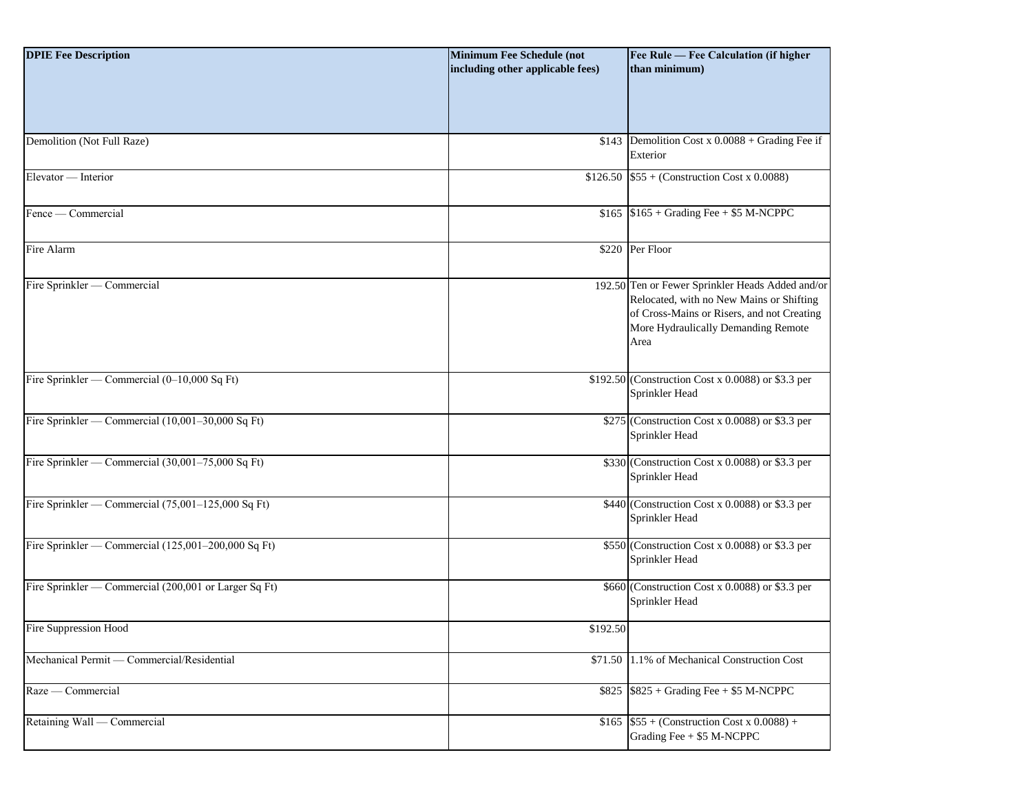| <b>DPIE Fee Description</b><br>Demolition (Not Full Raze) | <b>Minimum Fee Schedule (not</b><br>including other applicable fees) | Fee Rule - Fee Calculation (if higher<br>than minimum)<br>\$143 Demolition Cost x $\overline{0.0088 + \text{Grading} \text{Fee if}}$                                                      |
|-----------------------------------------------------------|----------------------------------------------------------------------|-------------------------------------------------------------------------------------------------------------------------------------------------------------------------------------------|
|                                                           |                                                                      | Exterior                                                                                                                                                                                  |
| Elevator — Interior                                       |                                                                      | $$126.50$ \$55 + (Construction Cost x 0.0088)                                                                                                                                             |
| Fence — Commercial                                        |                                                                      | $$165$ $$165 + Grading$ Fee + \$5 M-NCPPC                                                                                                                                                 |
| Fire Alarm                                                |                                                                      | \$220 Per Floor                                                                                                                                                                           |
| Fire Sprinkler — Commercial                               |                                                                      | 192.50 Ten or Fewer Sprinkler Heads Added and/or<br>Relocated, with no New Mains or Shifting<br>of Cross-Mains or Risers, and not Creating<br>More Hydraulically Demanding Remote<br>Area |
| Fire Sprinkler — Commercial (0-10,000 Sq Ft)              |                                                                      | \$192.50 (Construction Cost x 0.0088) or \$3.3 per<br>Sprinkler Head                                                                                                                      |
| Fire Sprinkler — Commercial (10,001-30,000 Sq Ft)         |                                                                      | \$275 (Construction Cost x 0.0088) or \$3.3 per<br>Sprinkler Head                                                                                                                         |
| Fire Sprinkler — Commercial (30,001-75,000 Sq Ft)         |                                                                      | \$330 (Construction Cost x 0.0088) or \$3.3 per<br>Sprinkler Head                                                                                                                         |
| Fire Sprinkler — Commercial (75,001-125,000 Sq Ft)        |                                                                      | $$440$ (Construction Cost x 0.0088) or \$3.3 per<br>Sprinkler Head                                                                                                                        |
| Fire Sprinkler — Commercial (125,001-200,000 Sq Ft)       |                                                                      | \$550 (Construction Cost x 0.0088) or \$3.3 per<br>Sprinkler Head                                                                                                                         |
| Fire Sprinkler — Commercial (200,001 or Larger Sq Ft)     |                                                                      | \$660 (Construction Cost x 0.0088) or \$3.3 per<br>Sprinkler Head                                                                                                                         |
| Fire Suppression Hood                                     | \$192.50                                                             |                                                                                                                                                                                           |
| Mechanical Permit - Commercial/Residential                |                                                                      | \$71.50 1.1% of Mechanical Construction Cost                                                                                                                                              |
| Raze — Commercial                                         |                                                                      | $$825$ $$825 + Grading$ Fee + \$5 M-NCPPC                                                                                                                                                 |
| Retaining Wall — Commercial                               |                                                                      | \$165 \$55 + (Construction Cost x 0.0088) +<br>Grading Fee $+$ \$5 M-NCPPC                                                                                                                |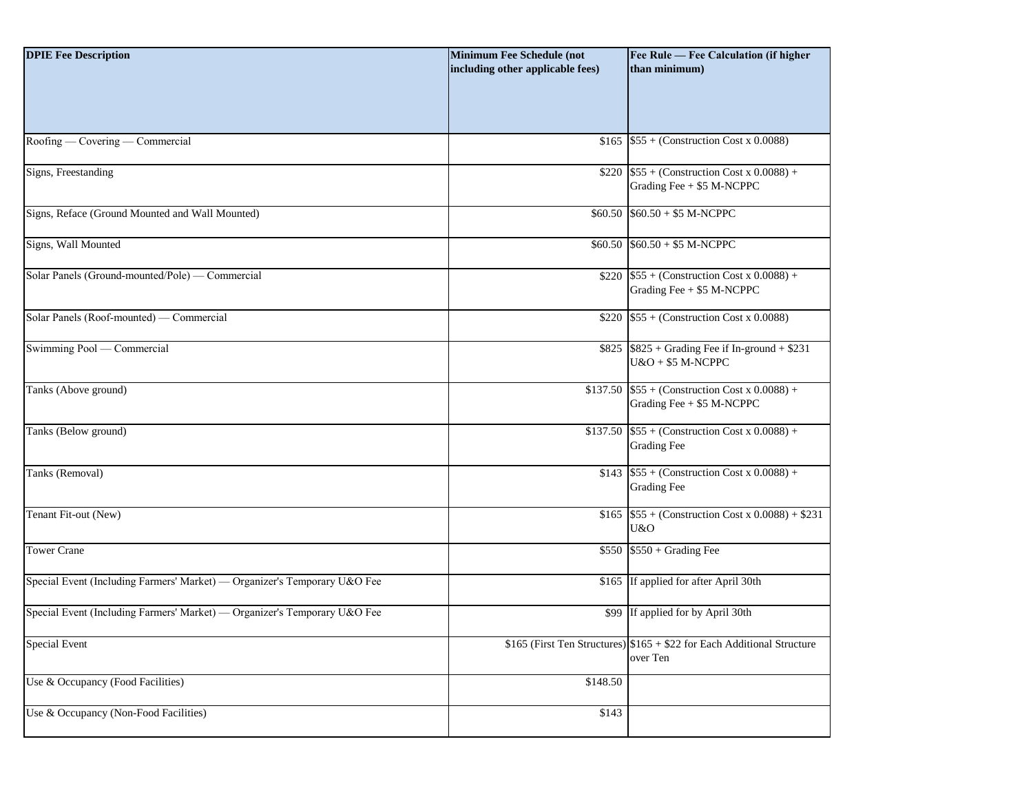| <b>DPIE Fee Description</b>                                               | <b>Minimum Fee Schedule (not</b><br>including other applicable fees) | Fee Rule - Fee Calculation (if higher<br>than minimum)                              |
|---------------------------------------------------------------------------|----------------------------------------------------------------------|-------------------------------------------------------------------------------------|
| Roofing — Covering — Commercial                                           |                                                                      | \$165 $$55 + (Construction Cost x 0.0088)$                                          |
| Signs, Freestanding                                                       |                                                                      | \$220 $$55 + (Construction Cost x 0.0088) +$<br>Grading Fee + \$5 M-NCPPC           |
| Signs, Reface (Ground Mounted and Wall Mounted)                           |                                                                      | $$60.50$ $$60.50 + $5$ M-NCPPC                                                      |
| Signs, Wall Mounted                                                       |                                                                      | $$60.50$ $$60.50 + $5$ M-NCPPC                                                      |
| Solar Panels (Ground-mounted/Pole) — Commercial                           |                                                                      | \$220 $$55 + (Construction Cost x 0.0088) +$<br>Grading Fee + \$5 M-NCPPC           |
| Solar Panels (Roof-mounted) — Commercial                                  |                                                                      | \$220 $$55 + (Construction Cost x 0.0088)$                                          |
| Swimming Pool — Commercial                                                |                                                                      | $$825$ $$825 + Grading$ Fee if In-ground + \$231<br>$U&O+ $5 M-NCPPC$               |
| Tanks (Above ground)                                                      |                                                                      | \$137.50 $$55 + (Construction Cost x 0.0088) +$<br>Grading Fee + \$5 M-NCPPC        |
| Tanks (Below ground)                                                      |                                                                      | \$137.50 $$55 + (Construction Cost x 0.0088) +$<br><b>Grading Fee</b>               |
| Tanks (Removal)                                                           |                                                                      | $$143$ \$55 + (Construction Cost x 0.0088) +<br><b>Grading Fee</b>                  |
| Tenant Fit-out (New)                                                      |                                                                      | $$165$ $$55 + (Construction Cost x 0.0088) + $231$<br>U&O                           |
| <b>Tower Crane</b>                                                        |                                                                      | $$550$ $$550 + Grading$ Fee                                                         |
| Special Event (Including Farmers' Market) — Organizer's Temporary U&O Fee |                                                                      | \$165 If applied for after April 30th                                               |
| Special Event (Including Farmers' Market) — Organizer's Temporary U&O Fee |                                                                      | \$99 If applied for by April 30th                                                   |
| Special Event                                                             |                                                                      | \$165 (First Ten Structures) \$165 + \$22 for Each Additional Structure<br>over Ten |
| Use & Occupancy (Food Facilities)                                         | \$148.50                                                             |                                                                                     |
| Use & Occupancy (Non-Food Facilities)                                     | \$143                                                                |                                                                                     |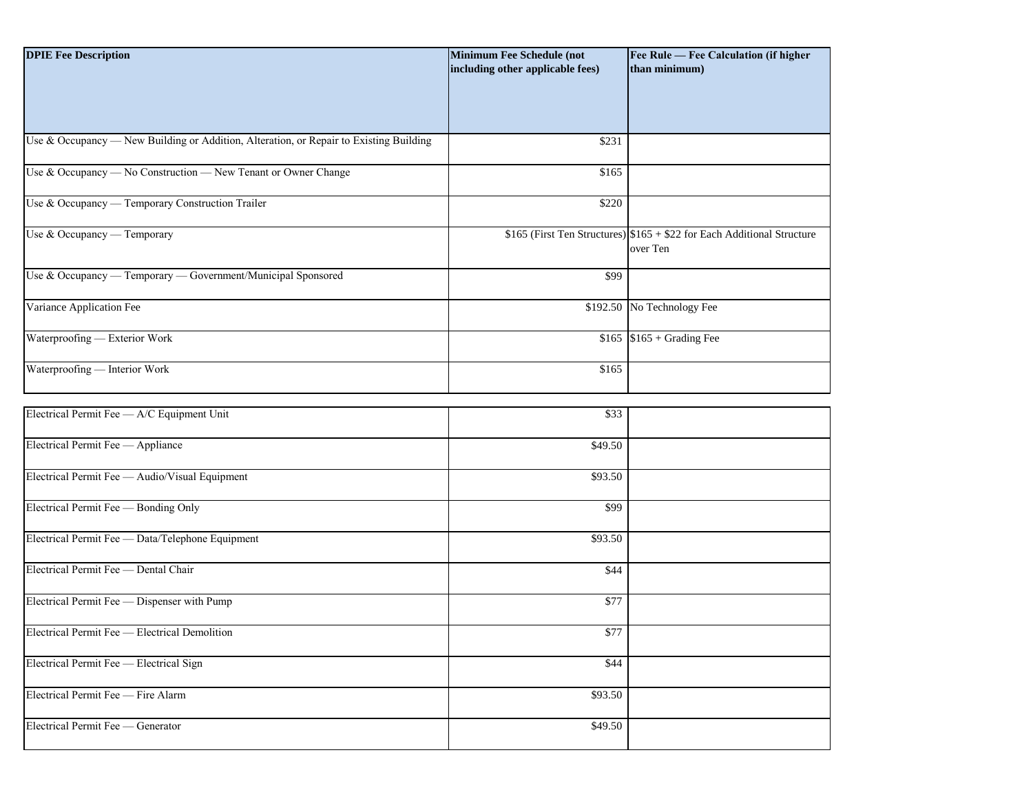| <b>DPIE Fee Description</b>                                                            | <b>Minimum Fee Schedule (not</b><br>including other applicable fees) | Fee Rule - Fee Calculation (if higher<br>than minimum)                              |
|----------------------------------------------------------------------------------------|----------------------------------------------------------------------|-------------------------------------------------------------------------------------|
| Use & Occupancy - New Building or Addition, Alteration, or Repair to Existing Building | \$231                                                                |                                                                                     |
| Use & Occupancy - No Construction - New Tenant or Owner Change                         | \$165                                                                |                                                                                     |
| Use & Occupancy — Temporary Construction Trailer                                       | \$220                                                                |                                                                                     |
| Use & Occupancy - Temporary                                                            |                                                                      | \$165 (First Ten Structures) $$165 + $22$ for Each Additional Structure<br>over Ten |
| Use & Occupancy — Temporary — Government/Municipal Sponsored                           | \$99                                                                 |                                                                                     |
| Variance Application Fee                                                               | \$192.50                                                             | No Technology Fee                                                                   |
| Waterproofing - Exterior Work                                                          |                                                                      | $$165$ $$165 + Grading$ Fee                                                         |
| Waterproofing - Interior Work                                                          | \$165                                                                |                                                                                     |
| Electrical Permit Fee - A/C Equipment Unit                                             | \$33                                                                 |                                                                                     |
| Electrical Permit Fee - Appliance                                                      | \$49.50                                                              |                                                                                     |
| Electrical Permit Fee - Audio/Visual Equipment                                         | \$93.50                                                              |                                                                                     |
| Electrical Permit Fee - Bonding Only                                                   | \$99                                                                 |                                                                                     |
| Electrical Permit Fee - Data/Telephone Equipment                                       | \$93.50                                                              |                                                                                     |
| Electrical Permit Fee - Dental Chair                                                   | \$44                                                                 |                                                                                     |
| Electrical Permit Fee - Dispenser with Pump                                            | \$77                                                                 |                                                                                     |
| Electrical Permit Fee - Electrical Demolition                                          | \$77                                                                 |                                                                                     |
| Electrical Permit Fee — Electrical Sign                                                | \$44                                                                 |                                                                                     |
| Electrical Permit Fee - Fire Alarm                                                     | \$93.50                                                              |                                                                                     |
| Electrical Permit Fee - Generator                                                      | \$49.50                                                              |                                                                                     |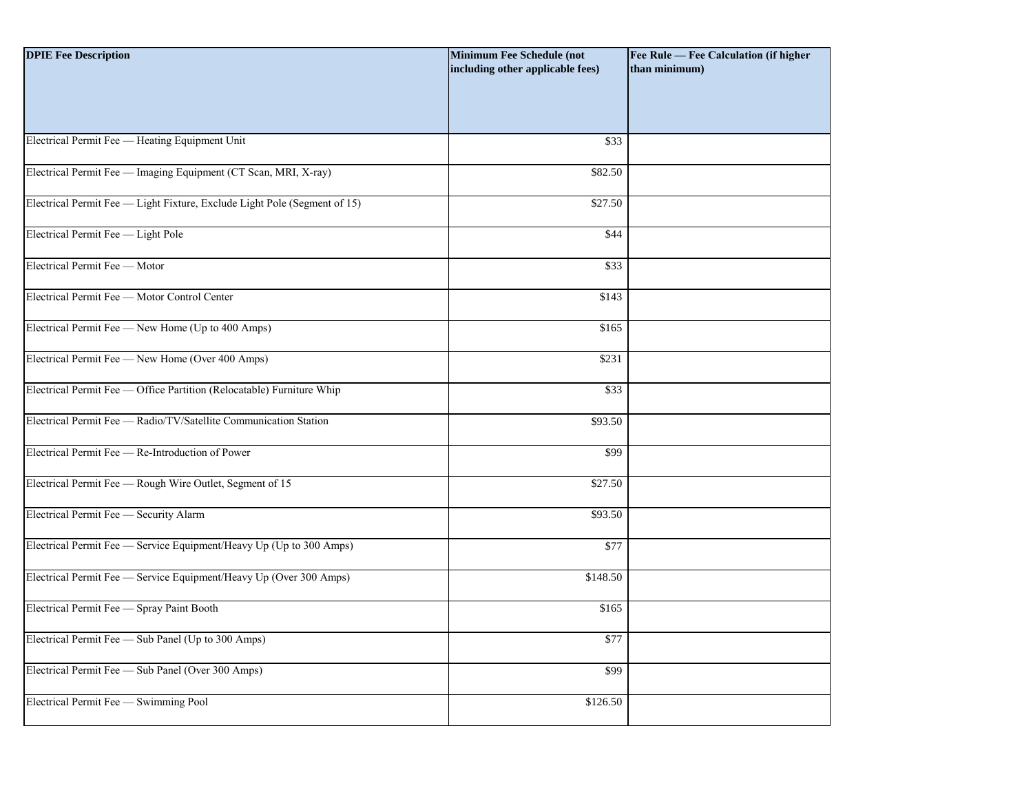| <b>DPIE Fee Description</b>                                               | <b>Minimum Fee Schedule (not</b><br>including other applicable fees) | Fee Rule - Fee Calculation (if higher<br>than minimum) |
|---------------------------------------------------------------------------|----------------------------------------------------------------------|--------------------------------------------------------|
|                                                                           |                                                                      |                                                        |
| Electrical Permit Fee - Heating Equipment Unit                            | \$33                                                                 |                                                        |
| Electrical Permit Fee - Imaging Equipment (CT Scan, MRI, X-ray)           | \$82.50                                                              |                                                        |
| Electrical Permit Fee - Light Fixture, Exclude Light Pole (Segment of 15) | \$27.50                                                              |                                                        |
| Electrical Permit Fee - Light Pole                                        | \$44                                                                 |                                                        |
| Electrical Permit Fee - Motor                                             | \$33                                                                 |                                                        |
| Electrical Permit Fee - Motor Control Center                              | \$143                                                                |                                                        |
| Electrical Permit Fee - New Home (Up to 400 Amps)                         | \$165                                                                |                                                        |
| Electrical Permit Fee - New Home (Over 400 Amps)                          | \$231                                                                |                                                        |
| Electrical Permit Fee - Office Partition (Relocatable) Furniture Whip     | \$33                                                                 |                                                        |
| Electrical Permit Fee - Radio/TV/Satellite Communication Station          | \$93.50                                                              |                                                        |
| Electrical Permit Fee — Re-Introduction of Power                          | \$99                                                                 |                                                        |
| Electrical Permit Fee - Rough Wire Outlet, Segment of 15                  | \$27.50                                                              |                                                        |
| Electrical Permit Fee - Security Alarm                                    | \$93.50                                                              |                                                        |
| Electrical Permit Fee — Service Equipment/Heavy Up (Up to 300 Amps)       | \$77                                                                 |                                                        |
| Electrical Permit Fee — Service Equipment/Heavy Up (Over 300 Amps)        | \$148.50                                                             |                                                        |
| Electrical Permit Fee - Spray Paint Booth                                 | \$165                                                                |                                                        |
| Electrical Permit Fee - Sub Panel (Up to 300 Amps)                        | \$77                                                                 |                                                        |
| Electrical Permit Fee - Sub Panel (Over 300 Amps)                         | \$99                                                                 |                                                        |
| Electrical Permit Fee - Swimming Pool                                     | \$126.50                                                             |                                                        |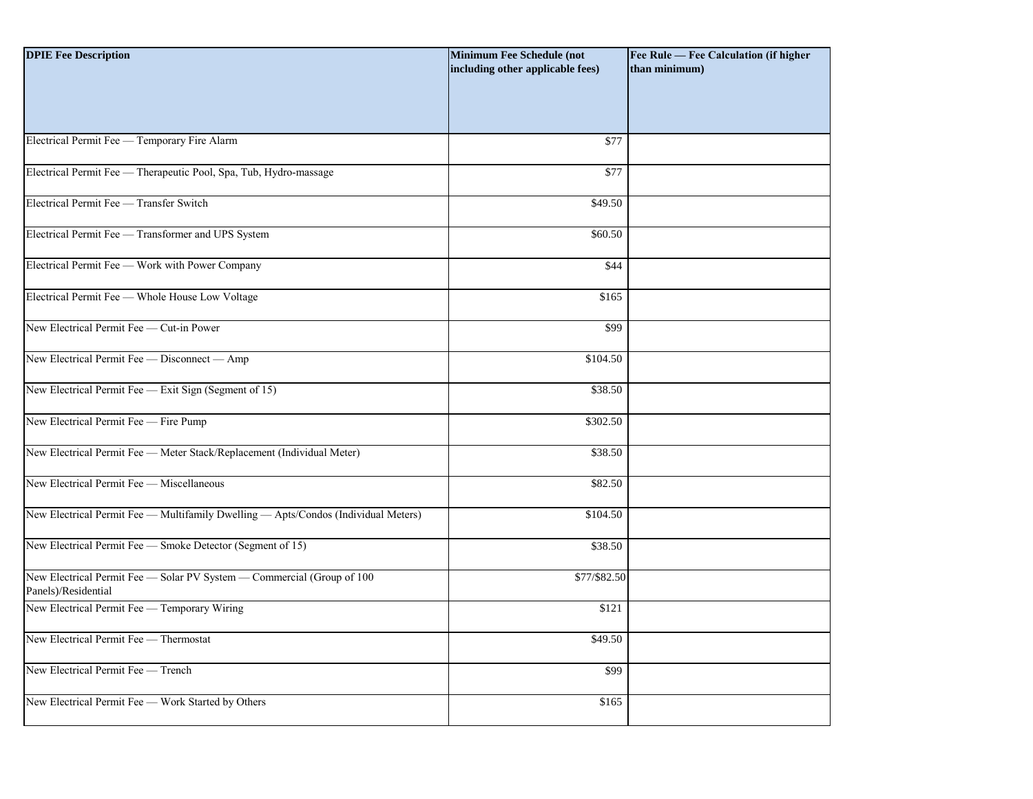| <b>DPIE Fee Description</b>                                                                   | <b>Minimum Fee Schedule (not</b><br>including other applicable fees) | Fee Rule — Fee Calculation (if higher<br>than minimum) |
|-----------------------------------------------------------------------------------------------|----------------------------------------------------------------------|--------------------------------------------------------|
|                                                                                               |                                                                      |                                                        |
| Electrical Permit Fee - Temporary Fire Alarm                                                  | \$77                                                                 |                                                        |
| Electrical Permit Fee - Therapeutic Pool, Spa, Tub, Hydro-massage                             | \$77                                                                 |                                                        |
| Electrical Permit Fee - Transfer Switch                                                       | \$49.50                                                              |                                                        |
| Electrical Permit Fee - Transformer and UPS System                                            | \$60.50                                                              |                                                        |
| Electrical Permit Fee - Work with Power Company                                               | \$44                                                                 |                                                        |
| Electrical Permit Fee - Whole House Low Voltage                                               | \$165                                                                |                                                        |
| New Electrical Permit Fee - Cut-in Power                                                      | \$99                                                                 |                                                        |
| New Electrical Permit Fee - Disconnect - Amp                                                  | \$104.50                                                             |                                                        |
| New Electrical Permit Fee - Exit Sign (Segment of 15)                                         | \$38.50                                                              |                                                        |
| New Electrical Permit Fee - Fire Pump                                                         | \$302.50                                                             |                                                        |
| New Electrical Permit Fee - Meter Stack/Replacement (Individual Meter)                        | \$38.50                                                              |                                                        |
| New Electrical Permit Fee - Miscellaneous                                                     | \$82.50                                                              |                                                        |
| New Electrical Permit Fee - Multifamily Dwelling - Apts/Condos (Individual Meters)            | \$104.50                                                             |                                                        |
| New Electrical Permit Fee - Smoke Detector (Segment of 15)                                    | \$38.50                                                              |                                                        |
| New Electrical Permit Fee - Solar PV System - Commercial (Group of 100<br>Panels)/Residential | \$77/\$82.50                                                         |                                                        |
| New Electrical Permit Fee - Temporary Wiring                                                  | \$121                                                                |                                                        |
| New Electrical Permit Fee - Thermostat                                                        | \$49.50                                                              |                                                        |
| New Electrical Permit Fee - Trench                                                            | \$99                                                                 |                                                        |
| New Electrical Permit Fee - Work Started by Others                                            | \$165                                                                |                                                        |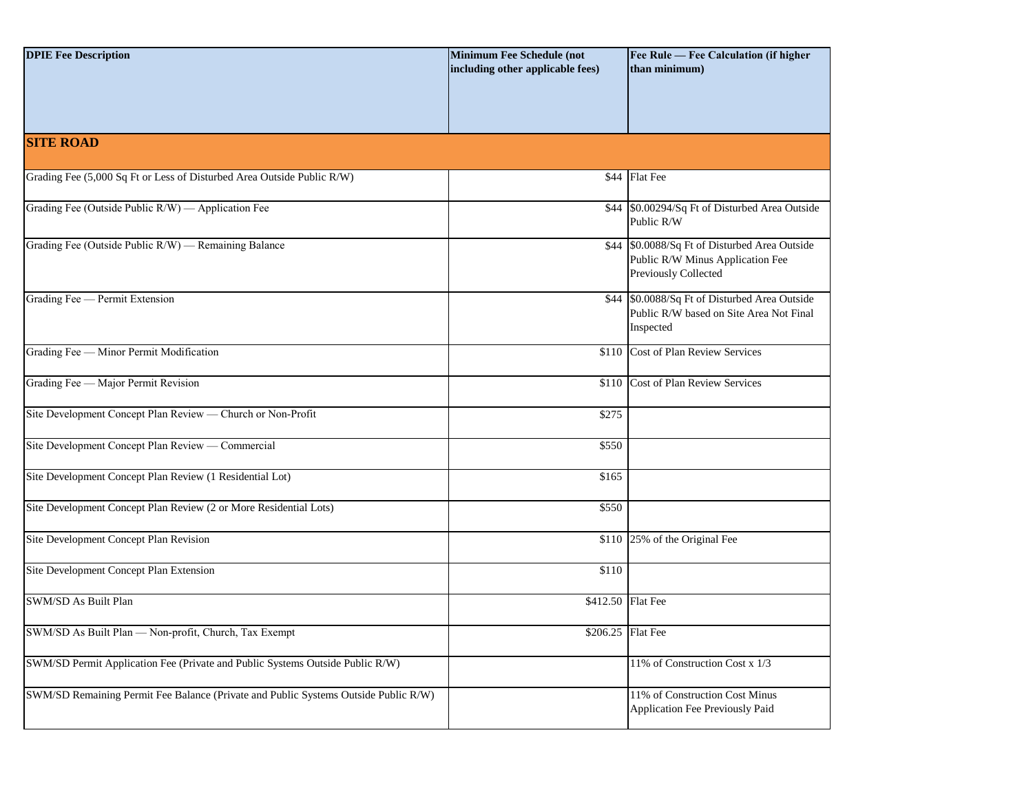| <b>DPIE Fee Description</b>                                                         | <b>Minimum Fee Schedule (not</b><br>including other applicable fees) | Fee Rule - Fee Calculation (if higher<br>than minimum)                                                    |
|-------------------------------------------------------------------------------------|----------------------------------------------------------------------|-----------------------------------------------------------------------------------------------------------|
| <b>SITE ROAD</b>                                                                    |                                                                      |                                                                                                           |
| Grading Fee (5,000 Sq Ft or Less of Disturbed Area Outside Public R/W)              |                                                                      | \$44 Flat Fee                                                                                             |
| Grading Fee (Outside Public R/W) — Application Fee                                  |                                                                      | \$44 \$0.00294/Sq Ft of Disturbed Area Outside<br>Public R/W                                              |
| Grading Fee (Outside Public R/W) — Remaining Balance                                |                                                                      | \$44 \$0.0088/Sq Ft of Disturbed Area Outside<br>Public R/W Minus Application Fee<br>Previously Collected |
| Grading Fee - Permit Extension                                                      |                                                                      | \$44 \$0.0088/Sq Ft of Disturbed Area Outside<br>Public R/W based on Site Area Not Final<br>Inspected     |
| Grading Fee - Minor Permit Modification                                             |                                                                      | \$110 Cost of Plan Review Services                                                                        |
| Grading Fee - Major Permit Revision                                                 |                                                                      | \$110 Cost of Plan Review Services                                                                        |
| Site Development Concept Plan Review - Church or Non-Profit                         | \$275                                                                |                                                                                                           |
| Site Development Concept Plan Review — Commercial                                   | \$550                                                                |                                                                                                           |
| Site Development Concept Plan Review (1 Residential Lot)                            | \$165                                                                |                                                                                                           |
| Site Development Concept Plan Review (2 or More Residential Lots)                   | \$550                                                                |                                                                                                           |
| Site Development Concept Plan Revision                                              |                                                                      | \$110 25% of the Original Fee                                                                             |
| Site Development Concept Plan Extension                                             | \$110                                                                |                                                                                                           |
| SWM/SD As Built Plan                                                                | \$412.50 Flat Fee                                                    |                                                                                                           |
| SWM/SD As Built Plan - Non-profit, Church, Tax Exempt                               | $$206.25$ Flat Fee                                                   |                                                                                                           |
| SWM/SD Permit Application Fee (Private and Public Systems Outside Public R/W)       |                                                                      | 11% of Construction Cost x 1/3                                                                            |
| SWM/SD Remaining Permit Fee Balance (Private and Public Systems Outside Public R/W) |                                                                      | 11% of Construction Cost Minus<br>Application Fee Previously Paid                                         |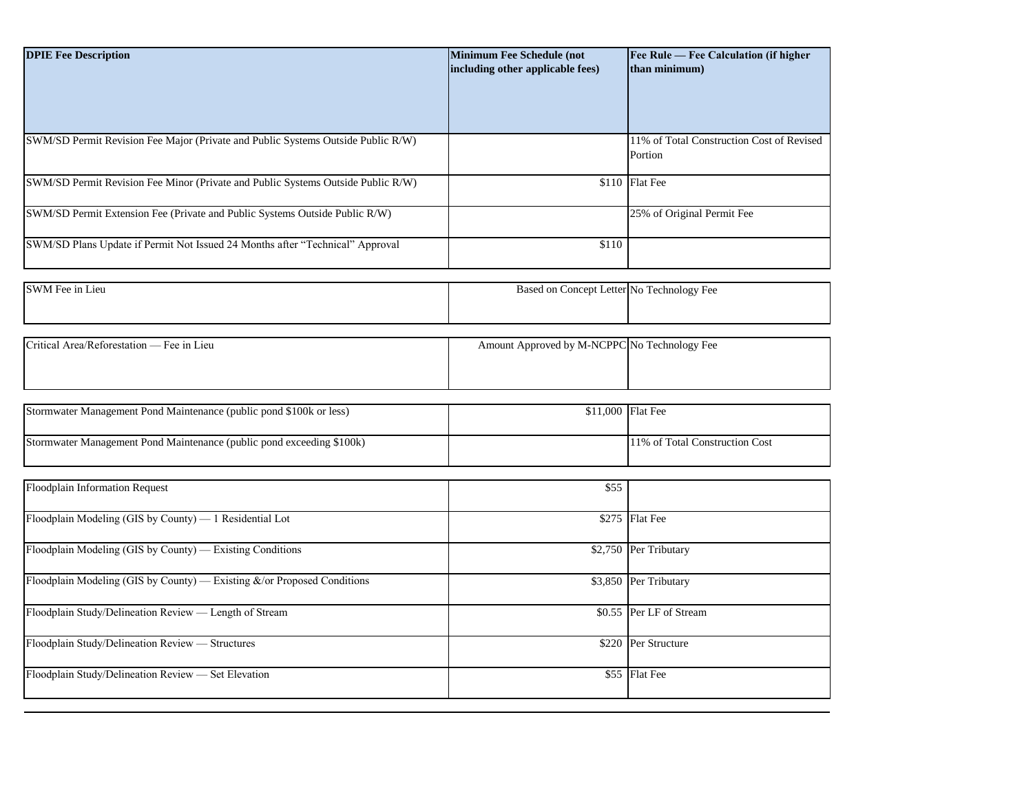| <b>DPIE Fee Description</b>                                                      | <b>Minimum Fee Schedule (not</b><br>including other applicable fees) | Fee Rule — Fee Calculation (if higher<br>than minimum) |
|----------------------------------------------------------------------------------|----------------------------------------------------------------------|--------------------------------------------------------|
|                                                                                  |                                                                      |                                                        |
| SWM/SD Permit Revision Fee Major (Private and Public Systems Outside Public R/W) |                                                                      | 11% of Total Construction Cost of Revised<br>Portion   |
| SWM/SD Permit Revision Fee Minor (Private and Public Systems Outside Public R/W) |                                                                      | \$110 Flat Fee                                         |
| SWM/SD Permit Extension Fee (Private and Public Systems Outside Public R/W)      |                                                                      | 25% of Original Permit Fee                             |
| SWM/SD Plans Update if Permit Not Issued 24 Months after "Technical" Approval    | \$110                                                                |                                                        |
|                                                                                  |                                                                      |                                                        |
| SWM Fee in Lieu                                                                  | Based on Concept Letter No Technology Fee                            |                                                        |
|                                                                                  |                                                                      |                                                        |
| Critical Area/Reforestation — Fee in Lieu                                        | Amount Approved by M-NCPPC No Technology Fee                         |                                                        |
|                                                                                  |                                                                      |                                                        |
| Stormwater Management Pond Maintenance (public pond \$100k or less)              | \$11,000 Flat Fee                                                    |                                                        |
| Stormwater Management Pond Maintenance (public pond exceeding \$100k)            |                                                                      | 11% of Total Construction Cost                         |
|                                                                                  |                                                                      |                                                        |
| Floodplain Information Request                                                   | \$55                                                                 |                                                        |
| Floodplain Modeling (GIS by County) - 1 Residential Lot                          |                                                                      | \$275 Flat Fee                                         |
| Floodplain Modeling (GIS by County) — Existing Conditions                        |                                                                      | \$2,750 Per Tributary                                  |
| Floodplain Modeling (GIS by County) — Existing &/or Proposed Conditions          | \$3,850                                                              | Per Tributary                                          |
| Floodplain Study/Delineation Review - Length of Stream                           |                                                                      | \$0.55 Per LF of Stream                                |
| Floodplain Study/Delineation Review - Structures                                 |                                                                      | \$220 Per Structure                                    |
| Floodplain Study/Delineation Review - Set Elevation                              |                                                                      | \$55 Flat Fee                                          |
|                                                                                  |                                                                      |                                                        |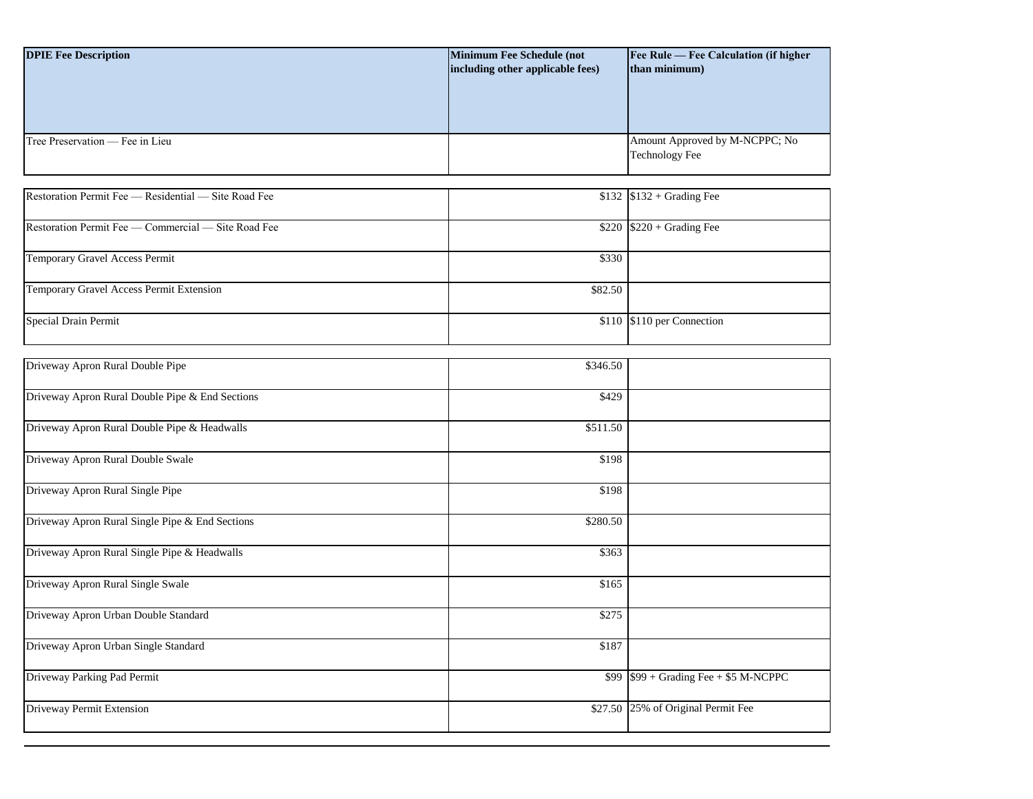| <b>DPIE Fee Description</b>     | <b>Minimum Fee Schedule (not</b><br>including other applicable fees) | <b>Fee Rule — Fee Calculation (if higher)</b><br>than minimum) |
|---------------------------------|----------------------------------------------------------------------|----------------------------------------------------------------|
| Tree Preservation — Fee in Lieu |                                                                      | Amount Approved by M-NCPPC; No<br><b>Technology Fee</b>        |

| Restoration Permit Fee — Residential — Site Road Fee |         | $$132$ $$132 + Grading$ Fee |
|------------------------------------------------------|---------|-----------------------------|
| Restoration Permit Fee — Commercial — Site Road Fee  |         | $$220$ $$220 + Grading$ Fee |
| Temporary Gravel Access Permit                       | \$330   |                             |
| Temporary Gravel Access Permit Extension             | \$82.50 |                             |
| Special Drain Permit                                 |         | \$110 \$110 per Connection  |

| Driveway Apron Rural Double Pipe                | \$346.50 |                                         |
|-------------------------------------------------|----------|-----------------------------------------|
| Driveway Apron Rural Double Pipe & End Sections | \$429    |                                         |
| Driveway Apron Rural Double Pipe & Headwalls    | \$511.50 |                                         |
| Driveway Apron Rural Double Swale               | \$198    |                                         |
| Driveway Apron Rural Single Pipe                | \$198    |                                         |
| Driveway Apron Rural Single Pipe & End Sections | \$280.50 |                                         |
| Driveway Apron Rural Single Pipe & Headwalls    | \$363    |                                         |
| Driveway Apron Rural Single Swale               | \$165    |                                         |
| Driveway Apron Urban Double Standard            | \$275    |                                         |
| Driveway Apron Urban Single Standard            | \$187    |                                         |
| Driveway Parking Pad Permit                     |          | $$99$ $$99 + Grading$ Fee + \$5 M-NCPPC |
| Driveway Permit Extension                       |          | \$27.50 25% of Original Permit Fee      |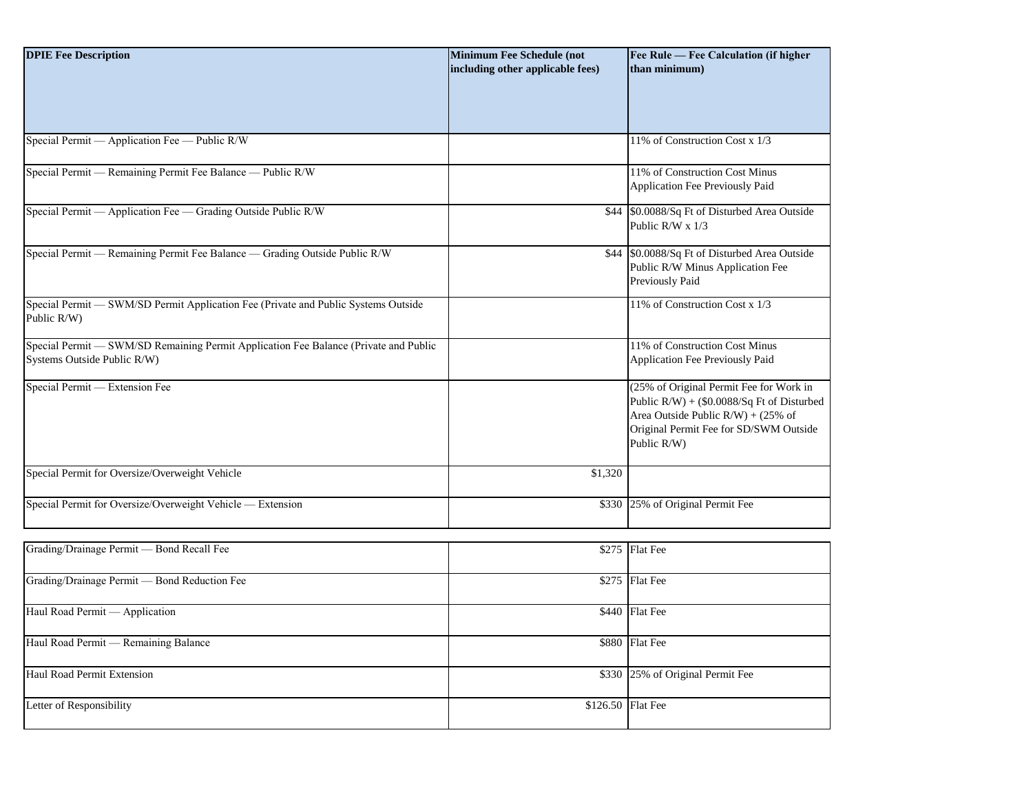| <b>DPIE Fee Description</b>                                                                                         | <b>Minimum Fee Schedule (not</b><br>including other applicable fees) | Fee Rule - Fee Calculation (if higher<br>than minimum)                                                                                                                                  |
|---------------------------------------------------------------------------------------------------------------------|----------------------------------------------------------------------|-----------------------------------------------------------------------------------------------------------------------------------------------------------------------------------------|
| Special Permit — Application Fee — Public R/W                                                                       |                                                                      | 11% of Construction Cost x 1/3                                                                                                                                                          |
| Special Permit - Remaining Permit Fee Balance - Public R/W                                                          |                                                                      | 11% of Construction Cost Minus<br>Application Fee Previously Paid                                                                                                                       |
| Special Permit - Application Fee - Grading Outside Public R/W                                                       |                                                                      | \$44 \$0.0088/Sq Ft of Disturbed Area Outside<br>Public R/W x 1/3                                                                                                                       |
| Special Permit - Remaining Permit Fee Balance - Grading Outside Public R/W                                          |                                                                      | \$44 \$0.0088/Sq Ft of Disturbed Area Outside<br>Public R/W Minus Application Fee<br>Previously Paid                                                                                    |
| Special Permit - SWM/SD Permit Application Fee (Private and Public Systems Outside<br>Public R/W)                   |                                                                      | 11% of Construction Cost x 1/3                                                                                                                                                          |
| Special Permit - SWM/SD Remaining Permit Application Fee Balance (Private and Public<br>Systems Outside Public R/W) |                                                                      | 11% of Construction Cost Minus<br>Application Fee Previously Paid                                                                                                                       |
| Special Permit - Extension Fee                                                                                      |                                                                      | (25% of Original Permit Fee for Work in<br>Public R/W) + (\$0.0088/Sq Ft of Disturbed<br>Area Outside Public $R/W$ ) + (25% of<br>Original Permit Fee for SD/SWM Outside<br>Public R/W) |
| Special Permit for Oversize/Overweight Vehicle                                                                      | \$1,320                                                              |                                                                                                                                                                                         |
| Special Permit for Oversize/Overweight Vehicle - Extension                                                          |                                                                      | \$330 25% of Original Permit Fee                                                                                                                                                        |
| Grading/Drainage Permit - Bond Recall Fee                                                                           |                                                                      | \$275 Flat Fee                                                                                                                                                                          |
| Grading/Drainage Permit - Bond Reduction Fee                                                                        |                                                                      | \$275 Flat Fee                                                                                                                                                                          |
| Haul Road Permit - Application                                                                                      |                                                                      | \$440 Flat Fee                                                                                                                                                                          |
| Haul Road Permit - Remaining Balance                                                                                |                                                                      | \$880 Flat Fee                                                                                                                                                                          |
| <b>Haul Road Permit Extension</b>                                                                                   |                                                                      | \$330 25% of Original Permit Fee                                                                                                                                                        |
| Letter of Responsibility                                                                                            | \$126.50 Flat Fee                                                    |                                                                                                                                                                                         |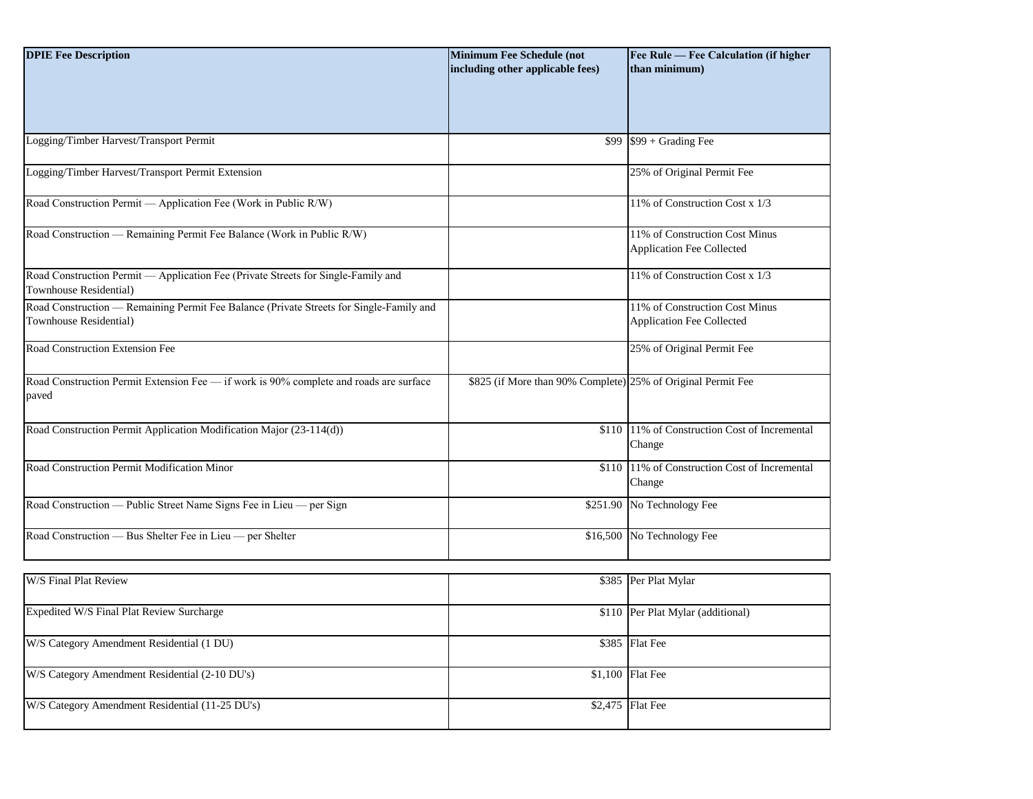| <b>DPIE Fee Description</b>                                                                                       | <b>Minimum Fee Schedule (not</b><br>including other applicable fees) | Fee Rule - Fee Calculation (if higher<br>than minimum)             |
|-------------------------------------------------------------------------------------------------------------------|----------------------------------------------------------------------|--------------------------------------------------------------------|
|                                                                                                                   |                                                                      |                                                                    |
| Logging/Timber Harvest/Transport Permit                                                                           |                                                                      | $$99$ $$99 + Grading$ Fee                                          |
| Logging/Timber Harvest/Transport Permit Extension                                                                 |                                                                      | 25% of Original Permit Fee                                         |
| Road Construction Permit — Application Fee (Work in Public R/W)                                                   |                                                                      | 11% of Construction Cost x 1/3                                     |
| Road Construction — Remaining Permit Fee Balance (Work in Public R/W)                                             |                                                                      | 11% of Construction Cost Minus<br><b>Application Fee Collected</b> |
| Road Construction Permit - Application Fee (Private Streets for Single-Family and<br>Townhouse Residential)       |                                                                      | 11% of Construction Cost x 1/3                                     |
| Road Construction — Remaining Permit Fee Balance (Private Streets for Single-Family and<br>Townhouse Residential) |                                                                      | 11% of Construction Cost Minus<br><b>Application Fee Collected</b> |
| Road Construction Extension Fee                                                                                   |                                                                      | 25% of Original Permit Fee                                         |
| Road Construction Permit Extension Fee — if work is 90% complete and roads are surface<br>paved                   | \$825 (if More than 90% Complete) 25% of Original Permit Fee         |                                                                    |
| Road Construction Permit Application Modification Major (23-114(d))                                               | \$110                                                                | 11% of Construction Cost of Incremental<br>Change                  |
| Road Construction Permit Modification Minor                                                                       |                                                                      | \$110 11% of Construction Cost of Incremental<br>Change            |
| Road Construction — Public Street Name Signs Fee in Lieu — per Sign                                               | \$251.90                                                             | No Technology Fee                                                  |
| Road Construction — Bus Shelter Fee in Lieu — per Shelter                                                         | \$16,500                                                             | No Technology Fee                                                  |
| W/S Final Plat Review                                                                                             |                                                                      | \$385 Per Plat Mylar                                               |

| <b>W/S Final Plat Review</b>                    | \$385 Per Plat Mylar              |
|-------------------------------------------------|-----------------------------------|
| Expedited W/S Final Plat Review Surcharge       | \$110 Per Plat Mylar (additional) |
| W/S Category Amendment Residential (1 DU)       | \$385 Flat Fee                    |
| W/S Category Amendment Residential (2-10 DU's)  | $$1,100$ Flat Fee                 |
| W/S Category Amendment Residential (11-25 DU's) | $$2,475$ Flat Fee                 |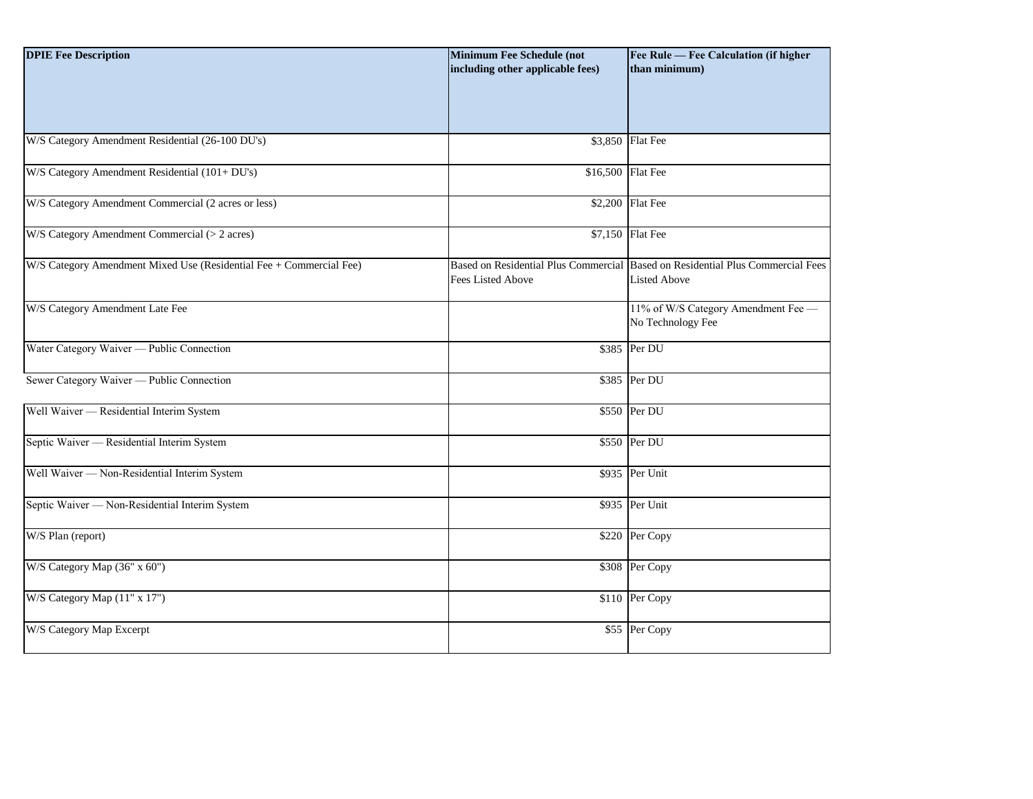| <b>DPIE Fee Description</b>                                         | <b>Minimum Fee Schedule (not</b><br>including other applicable fees) | Fee Rule - Fee Calculation (if higher<br>than minimum)                                                |
|---------------------------------------------------------------------|----------------------------------------------------------------------|-------------------------------------------------------------------------------------------------------|
| W/S Category Amendment Residential (26-100 DU's)                    |                                                                      | \$3,850 Flat Fee                                                                                      |
| W/S Category Amendment Residential (101+ DU's)                      | \$16,500 Flat Fee                                                    |                                                                                                       |
| W/S Category Amendment Commercial (2 acres or less)                 |                                                                      | \$2,200 Flat Fee                                                                                      |
| W/S Category Amendment Commercial (> 2 acres)                       |                                                                      | \$7,150 Flat Fee                                                                                      |
| W/S Category Amendment Mixed Use (Residential Fee + Commercial Fee) | Fees Listed Above                                                    | Based on Residential Plus Commercial Based on Residential Plus Commercial Fees<br><b>Listed Above</b> |
| W/S Category Amendment Late Fee                                     |                                                                      | 11% of W/S Category Amendment Fee -<br>No Technology Fee                                              |
| Water Category Waiver — Public Connection                           |                                                                      | \$385 Per DU                                                                                          |
| Sewer Category Waiver — Public Connection                           |                                                                      | \$385 Per DU                                                                                          |
| Well Waiver - Residential Interim System                            |                                                                      | \$550 Per DU                                                                                          |
| Septic Waiver - Residential Interim System                          |                                                                      | \$550 Per DU                                                                                          |
| Well Waiver - Non-Residential Interim System                        |                                                                      | \$935 Per Unit                                                                                        |
| Septic Waiver - Non-Residential Interim System                      |                                                                      | \$935 Per Unit                                                                                        |
| W/S Plan (report)                                                   |                                                                      | \$220 Per Copy                                                                                        |
| W/S Category Map (36" x 60")                                        |                                                                      | \$308 Per Copy                                                                                        |
| W/S Category Map (11" x 17")                                        |                                                                      | \$110 Per Copy                                                                                        |
| W/S Category Map Excerpt                                            |                                                                      | \$55 Per Copy                                                                                         |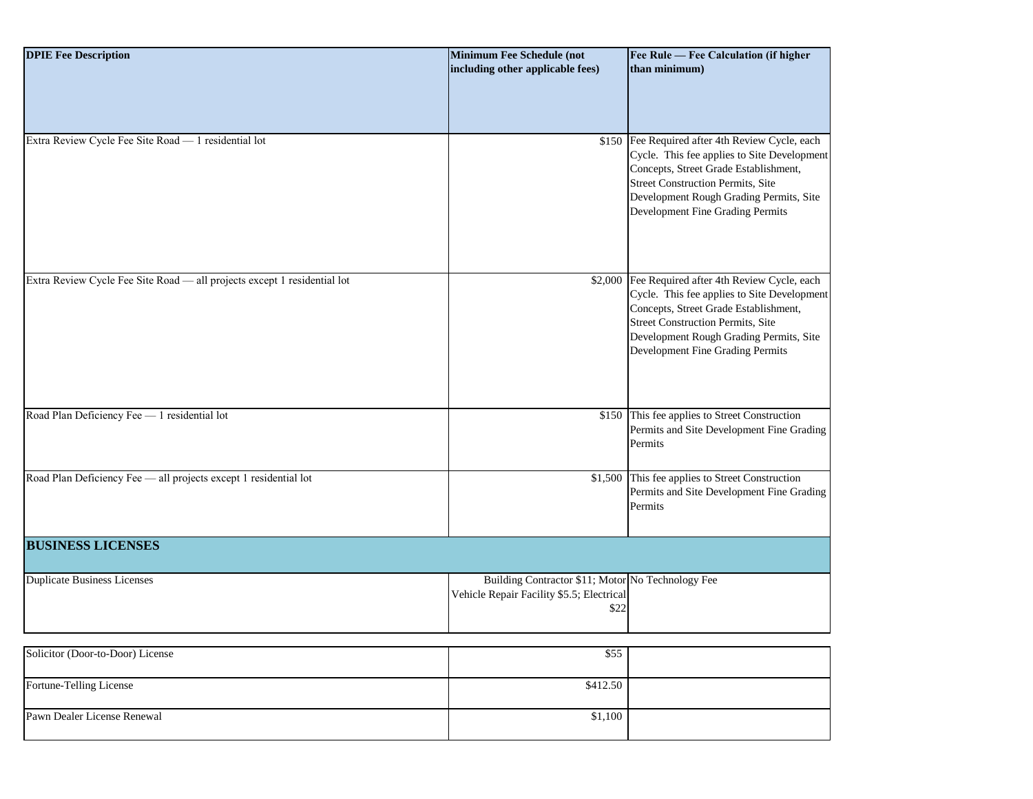| <b>DPIE Fee Description</b>                                              | <b>Minimum Fee Schedule (not</b><br>including other applicable fees)                                   | Fee Rule - Fee Calculation (if higher<br>than minimum)                                                                                                                                                                                                             |
|--------------------------------------------------------------------------|--------------------------------------------------------------------------------------------------------|--------------------------------------------------------------------------------------------------------------------------------------------------------------------------------------------------------------------------------------------------------------------|
|                                                                          |                                                                                                        |                                                                                                                                                                                                                                                                    |
| Extra Review Cycle Fee Site Road - 1 residential lot                     |                                                                                                        | \$150 Fee Required after 4th Review Cycle, each<br>Cycle. This fee applies to Site Development<br>Concepts, Street Grade Establishment,<br><b>Street Construction Permits, Site</b><br>Development Rough Grading Permits, Site<br>Development Fine Grading Permits |
| Extra Review Cycle Fee Site Road - all projects except 1 residential lot |                                                                                                        | \$2,000 Fee Required after 4th Review Cycle, each<br>Cycle. This fee applies to Site Development<br>Concepts, Street Grade Establishment,<br>Street Construction Permits, Site<br>Development Rough Grading Permits, Site<br>Development Fine Grading Permits      |
| Road Plan Deficiency Fee - 1 residential lot                             |                                                                                                        | \$150 This fee applies to Street Construction<br>Permits and Site Development Fine Grading<br>Permits                                                                                                                                                              |
| Road Plan Deficiency Fee - all projects except 1 residential lot         |                                                                                                        | \$1,500 This fee applies to Street Construction<br>Permits and Site Development Fine Grading<br>Permits                                                                                                                                                            |
| <b>BUSINESS LICENSES</b>                                                 |                                                                                                        |                                                                                                                                                                                                                                                                    |
| <b>Duplicate Business Licenses</b>                                       | Building Contractor \$11; Motor No Technology Fee<br>Vehicle Repair Facility \$5.5; Electrical<br>\$22 |                                                                                                                                                                                                                                                                    |
| Solicitor (Door-to-Door) License                                         | \$55                                                                                                   |                                                                                                                                                                                                                                                                    |
| Fortune-Telling License                                                  | \$412.50                                                                                               |                                                                                                                                                                                                                                                                    |
| Pawn Dealer License Renewal                                              | \$1,100                                                                                                |                                                                                                                                                                                                                                                                    |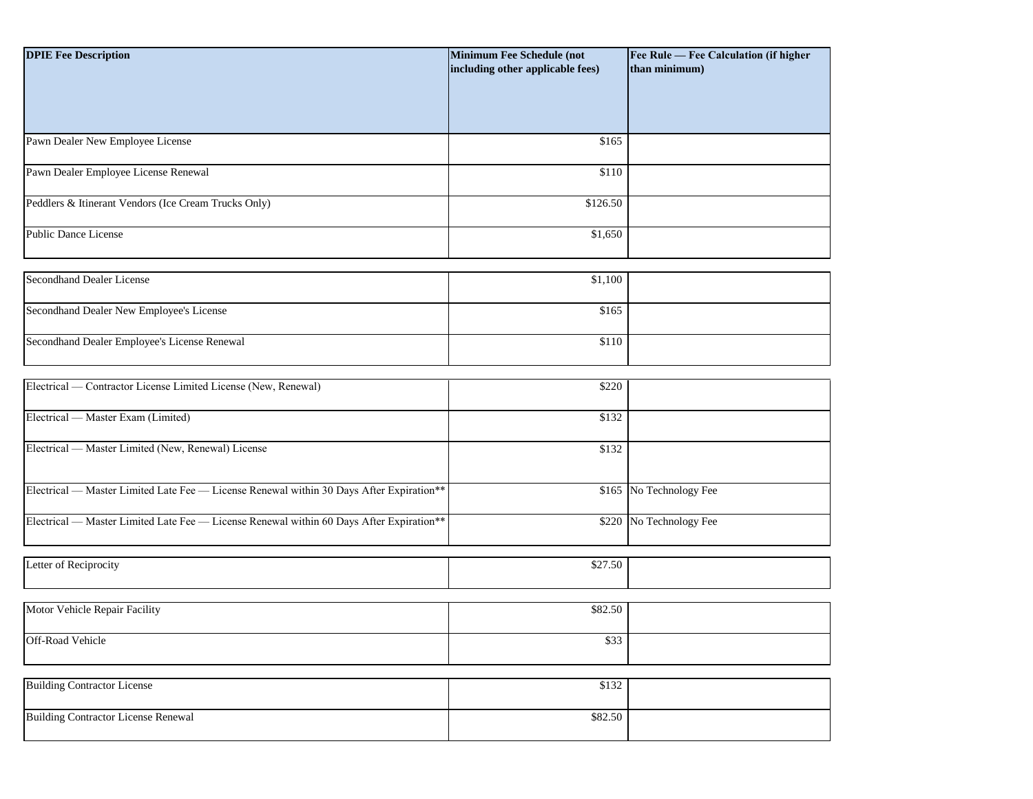| <b>DPIE Fee Description</b>                                                              | Minimum Fee Schedule (not<br>including other applicable fees) | Fee Rule — Fee Calculation (if higher<br>than minimum) |
|------------------------------------------------------------------------------------------|---------------------------------------------------------------|--------------------------------------------------------|
|                                                                                          |                                                               |                                                        |
| Pawn Dealer New Employee License                                                         | \$165                                                         |                                                        |
| Pawn Dealer Employee License Renewal                                                     | \$110                                                         |                                                        |
| Peddlers & Itinerant Vendors (Ice Cream Trucks Only)                                     | \$126.50                                                      |                                                        |
| <b>Public Dance License</b>                                                              | \$1,650                                                       |                                                        |
| <b>Secondhand Dealer License</b>                                                         | \$1,100                                                       |                                                        |
| Secondhand Dealer New Employee's License                                                 | \$165                                                         |                                                        |
| Secondhand Dealer Employee's License Renewal                                             | \$110                                                         |                                                        |
| Electrical — Contractor License Limited License (New, Renewal)                           | \$220                                                         |                                                        |
| Electrical — Master Exam (Limited)                                                       | \$132                                                         |                                                        |
| Electrical — Master Limited (New, Renewal) License                                       | \$132                                                         |                                                        |
| Electrical — Master Limited Late Fee — License Renewal within 30 Days After Expiration** |                                                               | \$165 No Technology Fee                                |
| Electrical — Master Limited Late Fee — License Renewal within 60 Days After Expiration** |                                                               | \$220 No Technology Fee                                |
| Letter of Reciprocity                                                                    | \$27.50                                                       |                                                        |
| Motor Vehicle Repair Facility                                                            | \$82.50                                                       |                                                        |
| Off-Road Vehicle                                                                         | \$33                                                          |                                                        |
| <b>Building Contractor License</b>                                                       | \$132                                                         |                                                        |
| <b>Building Contractor License Renewal</b>                                               | \$82.50                                                       |                                                        |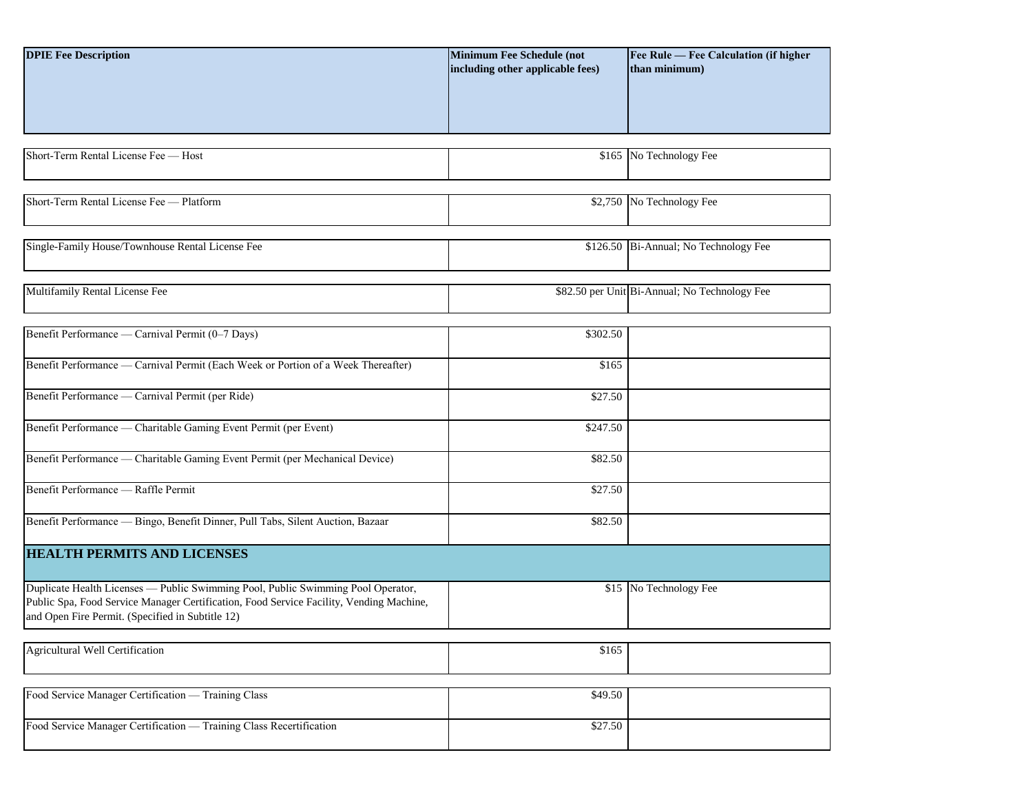| <b>DPIE Fee Description</b>                                                                                                                                                                                                     | <b>Minimum Fee Schedule (not</b><br>including other applicable fees) | Fee Rule - Fee Calculation (if higher<br>than minimum) |
|---------------------------------------------------------------------------------------------------------------------------------------------------------------------------------------------------------------------------------|----------------------------------------------------------------------|--------------------------------------------------------|
|                                                                                                                                                                                                                                 |                                                                      |                                                        |
| Short-Term Rental License Fee - Host                                                                                                                                                                                            |                                                                      | \$165 No Technology Fee                                |
| Short-Term Rental License Fee - Platform                                                                                                                                                                                        |                                                                      | \$2,750 No Technology Fee                              |
| Single-Family House/Townhouse Rental License Fee                                                                                                                                                                                |                                                                      | \$126.50 Bi-Annual; No Technology Fee                  |
| Multifamily Rental License Fee                                                                                                                                                                                                  |                                                                      | \$82.50 per Unit Bi-Annual; No Technology Fee          |
| Benefit Performance — Carnival Permit (0-7 Days)                                                                                                                                                                                | \$302.50                                                             |                                                        |
| Benefit Performance — Carnival Permit (Each Week or Portion of a Week Thereafter)                                                                                                                                               | \$165                                                                |                                                        |
| Benefit Performance — Carnival Permit (per Ride)                                                                                                                                                                                | \$27.50                                                              |                                                        |
| Benefit Performance — Charitable Gaming Event Permit (per Event)                                                                                                                                                                | \$247.50                                                             |                                                        |
| Benefit Performance — Charitable Gaming Event Permit (per Mechanical Device)                                                                                                                                                    | \$82.50                                                              |                                                        |
| Benefit Performance - Raffle Permit                                                                                                                                                                                             | \$27.50                                                              |                                                        |
| Benefit Performance - Bingo, Benefit Dinner, Pull Tabs, Silent Auction, Bazaar                                                                                                                                                  | \$82.50                                                              |                                                        |
| <b>HEALTH PERMITS AND LICENSES</b>                                                                                                                                                                                              |                                                                      |                                                        |
| Duplicate Health Licenses - Public Swimming Pool, Public Swimming Pool Operator,<br>Public Spa, Food Service Manager Certification, Food Service Facility, Vending Machine,<br>and Open Fire Permit. (Specified in Subtitle 12) |                                                                      | \$15 No Technology Fee                                 |
| Agricultural Well Certification                                                                                                                                                                                                 | \$165                                                                |                                                        |
| Food Service Manager Certification — Training Class                                                                                                                                                                             | \$49.50                                                              |                                                        |
| Food Service Manager Certification — Training Class Recertification                                                                                                                                                             | \$27.50                                                              |                                                        |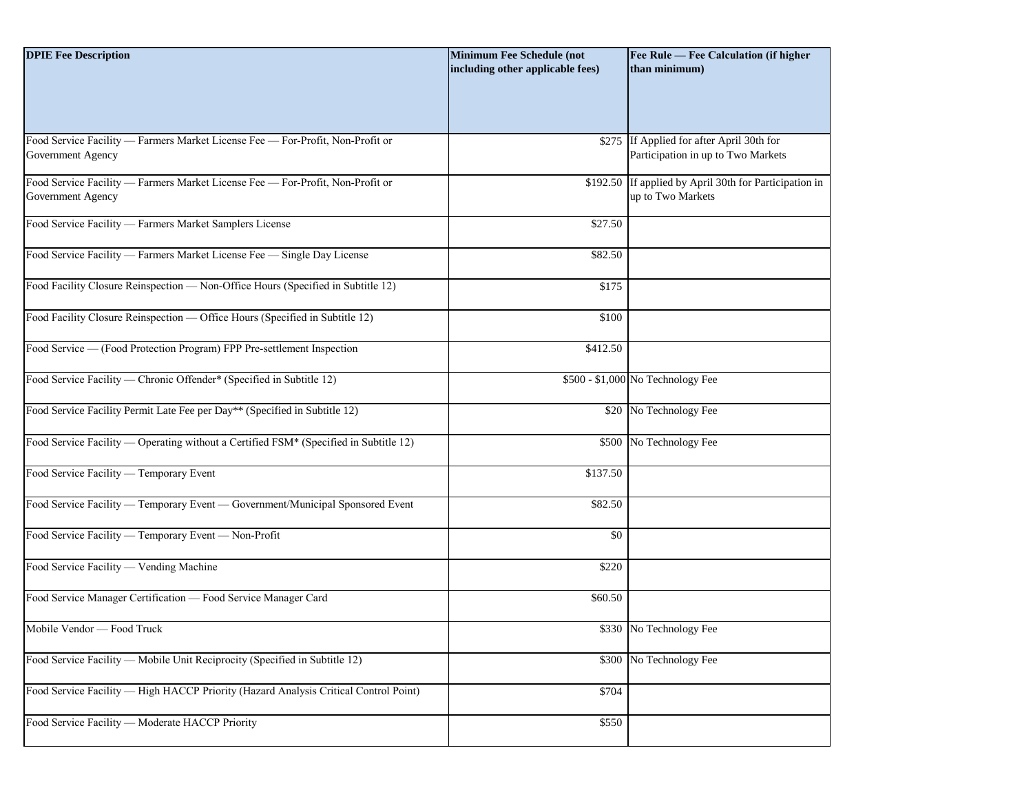| <b>DPIE Fee Description</b>                                                                         | <b>Minimum Fee Schedule (not</b><br>including other applicable fees) | Fee Rule - Fee Calculation (if higher<br>than minimum)                          |
|-----------------------------------------------------------------------------------------------------|----------------------------------------------------------------------|---------------------------------------------------------------------------------|
| Food Service Facility — Farmers Market License Fee — For-Profit, Non-Profit or<br>Government Agency |                                                                      | \$275 If Applied for after April 30th for<br>Participation in up to Two Markets |
| Food Service Facility - Farmers Market License Fee - For-Profit, Non-Profit or<br>Government Agency | \$192.50                                                             | If applied by April 30th for Participation in<br>up to Two Markets              |
| Food Service Facility - Farmers Market Samplers License                                             | \$27.50                                                              |                                                                                 |
| Food Service Facility — Farmers Market License Fee — Single Day License                             | \$82.50                                                              |                                                                                 |
| Food Facility Closure Reinspection - Non-Office Hours (Specified in Subtitle 12)                    | \$175                                                                |                                                                                 |
| Food Facility Closure Reinspection — Office Hours (Specified in Subtitle 12)                        | \$100                                                                |                                                                                 |
| Food Service - (Food Protection Program) FPP Pre-settlement Inspection                              | \$412.50                                                             |                                                                                 |
| Food Service Facility — Chronic Offender* (Specified in Subtitle 12)                                |                                                                      | \$500 - \$1,000 No Technology Fee                                               |
| Food Service Facility Permit Late Fee per Day** (Specified in Subtitle 12)                          | \$20                                                                 | No Technology Fee                                                               |
| Food Service Facility — Operating without a Certified FSM* (Specified in Subtitle 12)               |                                                                      | \$500 No Technology Fee                                                         |
| Food Service Facility - Temporary Event                                                             | \$137.50                                                             |                                                                                 |
| Food Service Facility — Temporary Event — Government/Municipal Sponsored Event                      | \$82.50                                                              |                                                                                 |
| Food Service Facility — Temporary Event — Non-Profit                                                | \$0                                                                  |                                                                                 |
| Food Service Facility — Vending Machine                                                             | \$220                                                                |                                                                                 |
| Food Service Manager Certification - Food Service Manager Card                                      | \$60.50                                                              |                                                                                 |
| Mobile Vendor - Food Truck                                                                          |                                                                      | \$330 No Technology Fee                                                         |
| Food Service Facility — Mobile Unit Reciprocity (Specified in Subtitle 12)                          | \$300                                                                | No Technology Fee                                                               |
| Food Service Facility - High HACCP Priority (Hazard Analysis Critical Control Point)                | \$704                                                                |                                                                                 |
| Food Service Facility - Moderate HACCP Priority                                                     | \$550                                                                |                                                                                 |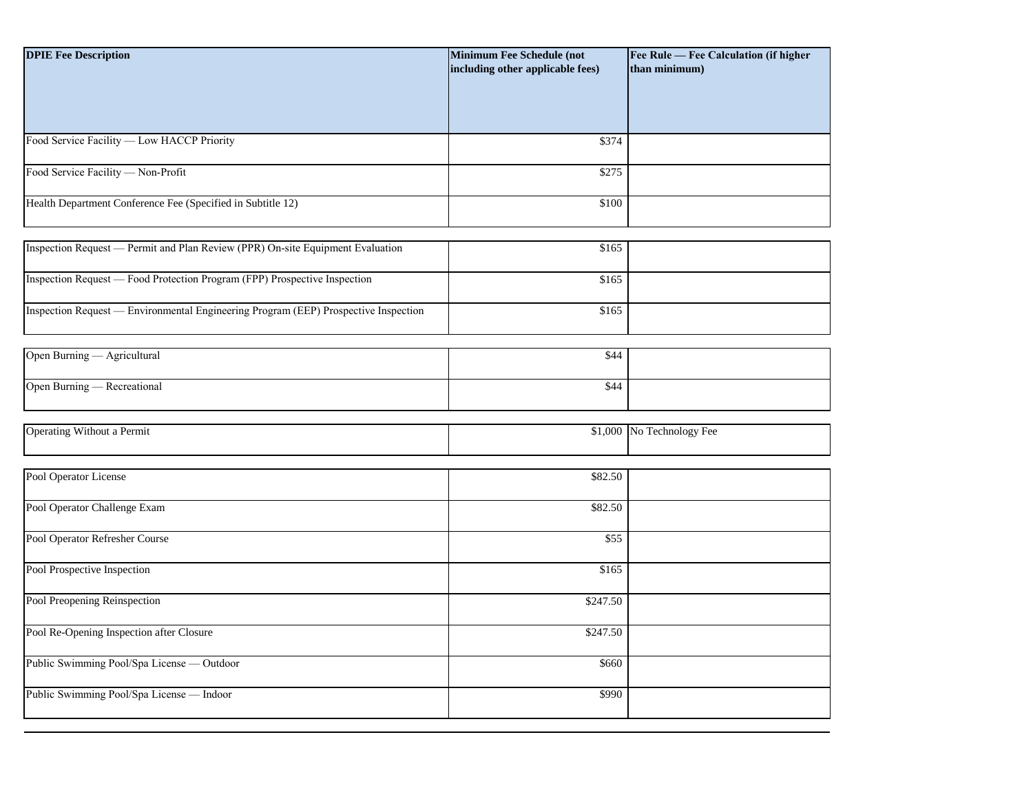| <b>DPIE Fee Description</b>                                                         | <b>Minimum Fee Schedule (not</b><br>including other applicable fees) | Fee Rule - Fee Calculation (if higher<br>than minimum) |
|-------------------------------------------------------------------------------------|----------------------------------------------------------------------|--------------------------------------------------------|
|                                                                                     |                                                                      |                                                        |
| Food Service Facility - Low HACCP Priority                                          | \$374                                                                |                                                        |
| Food Service Facility - Non-Profit                                                  | \$275                                                                |                                                        |
| Health Department Conference Fee (Specified in Subtitle 12)                         | \$100                                                                |                                                        |
| Inspection Request — Permit and Plan Review (PPR) On-site Equipment Evaluation      | \$165                                                                |                                                        |
| Inspection Request — Food Protection Program (FPP) Prospective Inspection           | \$165                                                                |                                                        |
| Inspection Request — Environmental Engineering Program (EEP) Prospective Inspection | \$165                                                                |                                                        |
| Open Burning - Agricultural                                                         | \$44                                                                 |                                                        |
| Open Burning - Recreational                                                         | \$44                                                                 |                                                        |
| Operating Without a Permit                                                          | \$1,000                                                              | No Technology Fee                                      |
| Pool Operator License                                                               | \$82.50                                                              |                                                        |
| Pool Operator Challenge Exam                                                        | \$82.50                                                              |                                                        |
| Pool Operator Refresher Course                                                      | \$55                                                                 |                                                        |
| Pool Prospective Inspection                                                         | \$165                                                                |                                                        |
| Pool Preopening Reinspection                                                        | \$247.50                                                             |                                                        |
| Pool Re-Opening Inspection after Closure                                            | \$247.50                                                             |                                                        |
| Public Swimming Pool/Spa License - Outdoor                                          | \$660                                                                |                                                        |
| Public Swimming Pool/Spa License - Indoor                                           | \$990                                                                |                                                        |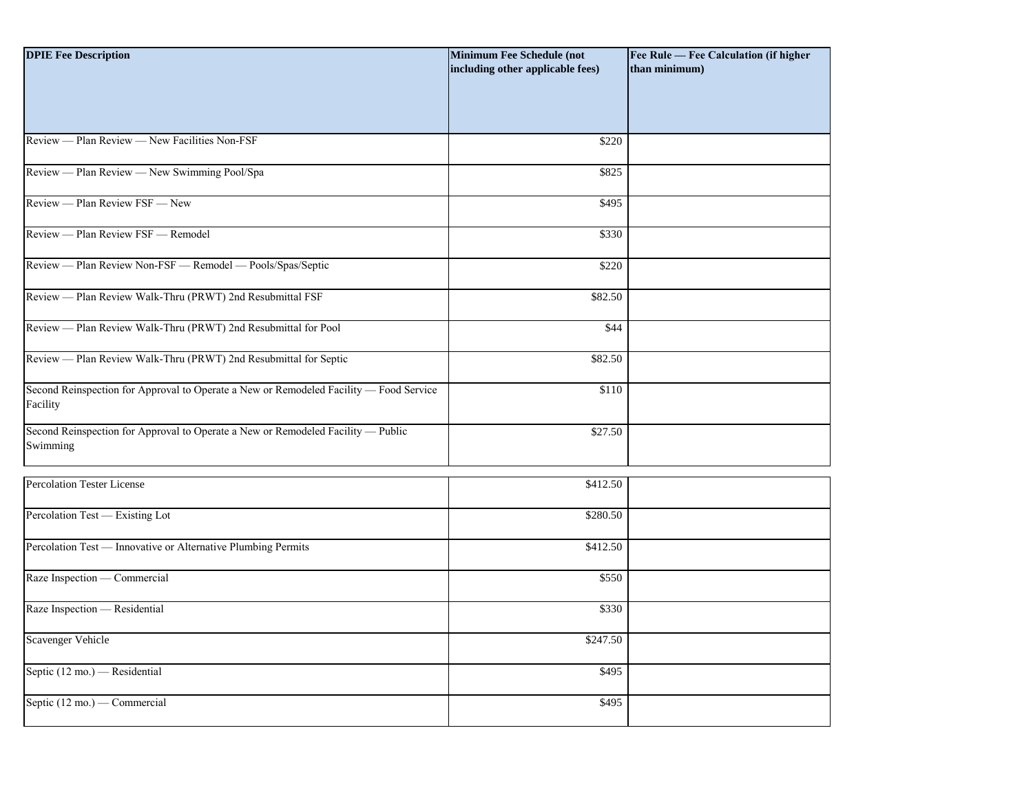| <b>DPIE Fee Description</b>                                                                        | <b>Minimum Fee Schedule (not</b><br>including other applicable fees) | Fee Rule - Fee Calculation (if higher<br>than minimum) |
|----------------------------------------------------------------------------------------------------|----------------------------------------------------------------------|--------------------------------------------------------|
|                                                                                                    |                                                                      |                                                        |
| Review — Plan Review — New Facilities Non-FSF                                                      | \$220                                                                |                                                        |
| Review - Plan Review - New Swimming Pool/Spa                                                       | \$825                                                                |                                                        |
| Review - Plan Review FSF - New                                                                     | \$495                                                                |                                                        |
| Review - Plan Review FSF - Remodel                                                                 | \$330                                                                |                                                        |
| Review - Plan Review Non-FSF - Remodel - Pools/Spas/Septic                                         | \$220                                                                |                                                        |
| Review - Plan Review Walk-Thru (PRWT) 2nd Resubmittal FSF                                          | \$82.50                                                              |                                                        |
| Review - Plan Review Walk-Thru (PRWT) 2nd Resubmittal for Pool                                     | \$44                                                                 |                                                        |
| Review - Plan Review Walk-Thru (PRWT) 2nd Resubmittal for Septic                                   | \$82.50                                                              |                                                        |
| Second Reinspection for Approval to Operate a New or Remodeled Facility - Food Service<br>Facility | \$110                                                                |                                                        |
| Second Reinspection for Approval to Operate a New or Remodeled Facility - Public<br>Swimming       | \$27.50                                                              |                                                        |
| <b>Percolation Tester License</b>                                                                  | \$412.50                                                             |                                                        |
| Percolation Test - Existing Lot                                                                    | \$280.50                                                             |                                                        |
| Percolation Test - Innovative or Alternative Plumbing Permits                                      | \$412.50                                                             |                                                        |
| Raze Inspection — Commercial                                                                       | \$550                                                                |                                                        |
| Raze Inspection - Residential                                                                      | \$330                                                                |                                                        |
| Scavenger Vehicle                                                                                  | \$247.50                                                             |                                                        |
| Septic $(12 \text{ mo.})$ - Residential                                                            | \$495                                                                |                                                        |
| Septic (12 mo.) — Commercial                                                                       | \$495                                                                |                                                        |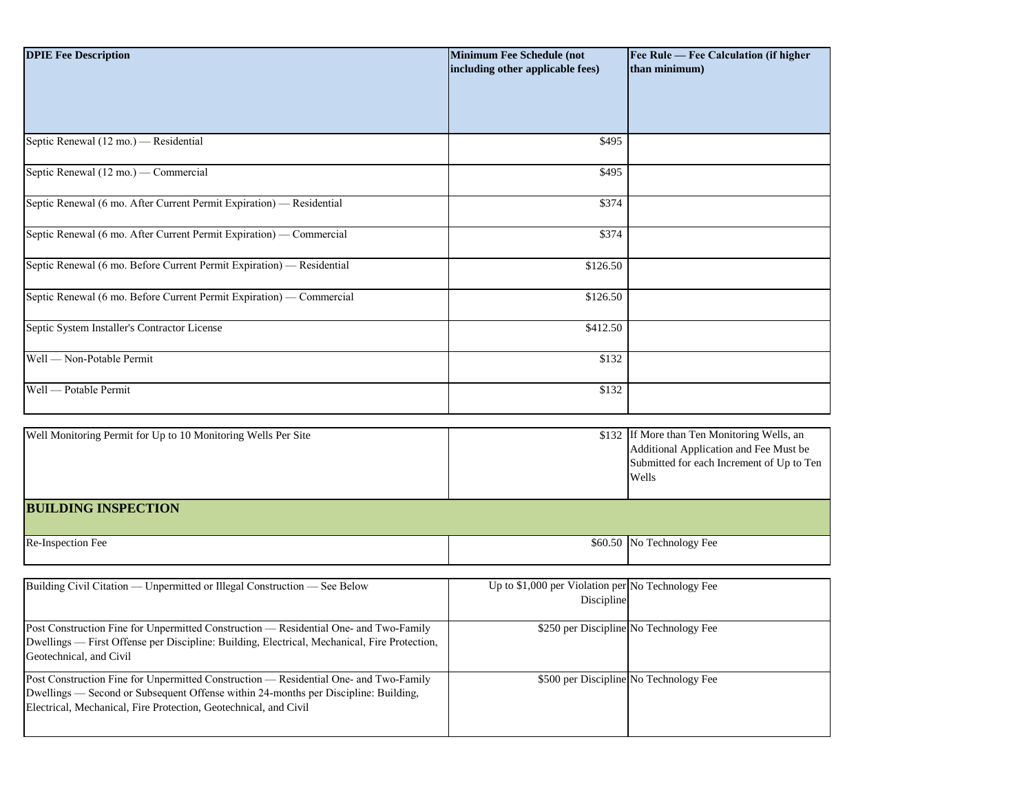| <b>DPIE Fee Description</b>                                                                                                                                                                                                                      | <b>Minimum Fee Schedule (not</b><br>including other applicable fees) | Fee Rule — Fee Calculation (if higher<br>than minimum)                                                                                      |
|--------------------------------------------------------------------------------------------------------------------------------------------------------------------------------------------------------------------------------------------------|----------------------------------------------------------------------|---------------------------------------------------------------------------------------------------------------------------------------------|
| Septic Renewal (12 mo.) — Residential                                                                                                                                                                                                            | \$495                                                                |                                                                                                                                             |
| Septic Renewal (12 mo.) — Commercial                                                                                                                                                                                                             | \$495                                                                |                                                                                                                                             |
| Septic Renewal (6 mo. After Current Permit Expiration) — Residential                                                                                                                                                                             | \$374                                                                |                                                                                                                                             |
| Septic Renewal (6 mo. After Current Permit Expiration) — Commercial                                                                                                                                                                              | \$374                                                                |                                                                                                                                             |
| Septic Renewal (6 mo. Before Current Permit Expiration) - Residential                                                                                                                                                                            | \$126.50                                                             |                                                                                                                                             |
| Septic Renewal (6 mo. Before Current Permit Expiration) — Commercial                                                                                                                                                                             | \$126.50                                                             |                                                                                                                                             |
| Septic System Installer's Contractor License                                                                                                                                                                                                     | \$412.50                                                             |                                                                                                                                             |
| Well — Non-Potable Permit                                                                                                                                                                                                                        | \$132                                                                |                                                                                                                                             |
| Well — Potable Permit                                                                                                                                                                                                                            | \$132                                                                |                                                                                                                                             |
| Well Monitoring Permit for Up to 10 Monitoring Wells Per Site                                                                                                                                                                                    |                                                                      | \$132 If More than Ten Monitoring Wells, an<br>Additional Application and Fee Must be<br>Submitted for each Increment of Up to Ten<br>Wells |
| <b>BUILDING INSPECTION</b>                                                                                                                                                                                                                       |                                                                      |                                                                                                                                             |
| Re-Inspection Fee                                                                                                                                                                                                                                |                                                                      | \$60.50 No Technology Fee                                                                                                                   |
| Building Civil Citation — Unpermitted or Illegal Construction — See Below                                                                                                                                                                        | Up to \$1,000 per Violation per No Technology Fee<br>Discipline      |                                                                                                                                             |
| Post Construction Fine for Unpermitted Construction - Residential One- and Two-Family<br>Dwellings — First Offense per Discipline: Building, Electrical, Mechanical, Fire Protection,<br>Geotechnical, and Civil                                 |                                                                      | \$250 per Discipline No Technology Fee                                                                                                      |
| Post Construction Fine for Unpermitted Construction - Residential One- and Two-Family<br>Dwellings — Second or Subsequent Offense within 24-months per Discipline: Building,<br>Electrical, Mechanical, Fire Protection, Geotechnical, and Civil |                                                                      | \$500 per Discipline No Technology Fee                                                                                                      |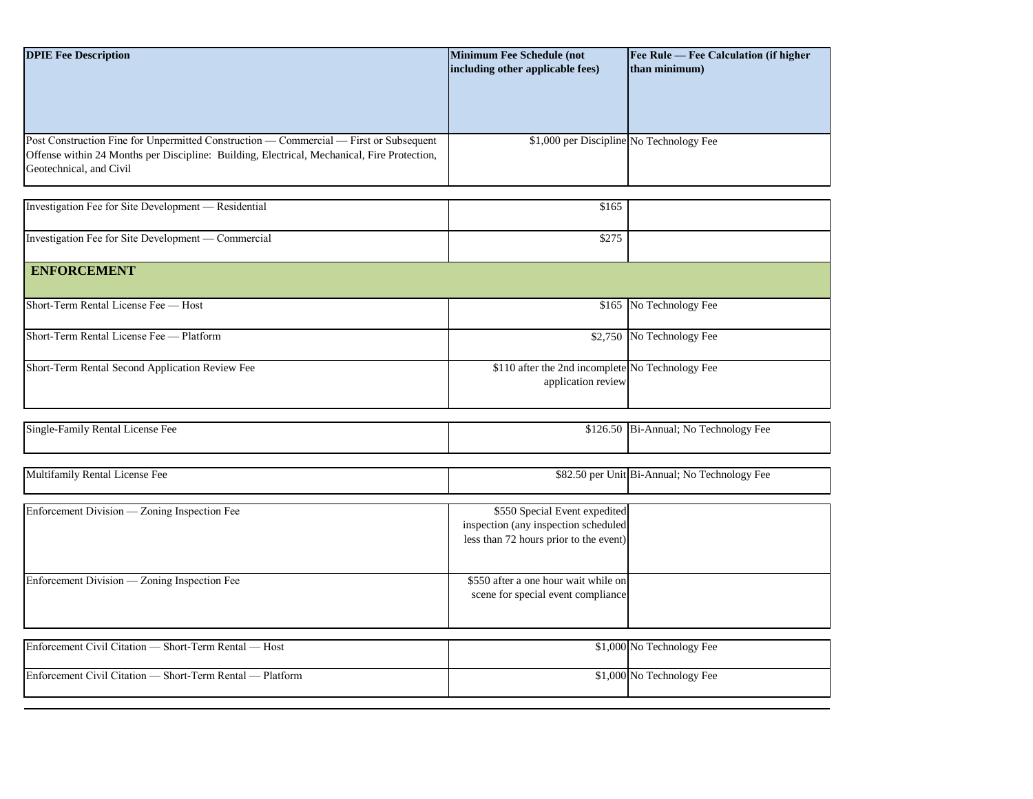| <b>DPIE Fee Description</b>                                                                 | <b>Minimum Fee Schedule (not</b>         | <b>Fee Rule — Fee Calculation (if higher)</b> |
|---------------------------------------------------------------------------------------------|------------------------------------------|-----------------------------------------------|
|                                                                                             | including other applicable fees)         | than minimum)                                 |
|                                                                                             |                                          |                                               |
|                                                                                             |                                          |                                               |
|                                                                                             |                                          |                                               |
|                                                                                             |                                          |                                               |
| Post Construction Fine for Unpermitted Construction — Commercial — First or Subsequent      | \$1,000 per Discipline No Technology Fee |                                               |
| Offense within 24 Months per Discipline: Building, Electrical, Mechanical, Fire Protection, |                                          |                                               |
| Geotechnical, and Civil                                                                     |                                          |                                               |
|                                                                                             |                                          |                                               |

| Investigation Fee for Site Development - Residential | \$165                                                                  |                           |
|------------------------------------------------------|------------------------------------------------------------------------|---------------------------|
| Investigation Fee for Site Development — Commercial  | \$275                                                                  |                           |
| <b>ENFORCEMENT</b>                                   |                                                                        |                           |
| Short-Term Rental License Fee — Host                 |                                                                        | \$165 No Technology Fee   |
| Short-Term Rental License Fee — Platform             |                                                                        | \$2,750 No Technology Fee |
| Short-Term Rental Second Application Review Fee      | \$110 after the 2nd incomplete No Technology Fee<br>application review |                           |

| Single-<br>-Family Rental .<br>l License Fee | Bi-Annual; No<br>$\sim$<br>\$126.50<br>Technology Fee |
|----------------------------------------------|-------------------------------------------------------|
|                                              |                                                       |

| Multifamily Rental License Fee               |                                                                                                                 | \$82.50 per Unit Bi-Annual; No Technology Fee |
|----------------------------------------------|-----------------------------------------------------------------------------------------------------------------|-----------------------------------------------|
|                                              |                                                                                                                 |                                               |
| Enforcement Division — Zoning Inspection Fee | \$550 Special Event expedited<br>inspection (any inspection scheduled<br>less than 72 hours prior to the event) |                                               |
| Enforcement Division — Zoning Inspection Fee | \$550 after a one hour wait while on<br>scene for special event compliance                                      |                                               |

| Enforcement Civil Citation — Short-Term Rental — Host     | \$1,000 No Technology Fee |
|-----------------------------------------------------------|---------------------------|
| Enforcement Civil Citation — Short-Term Rental — Platform | \$1,000 No Technology Fee |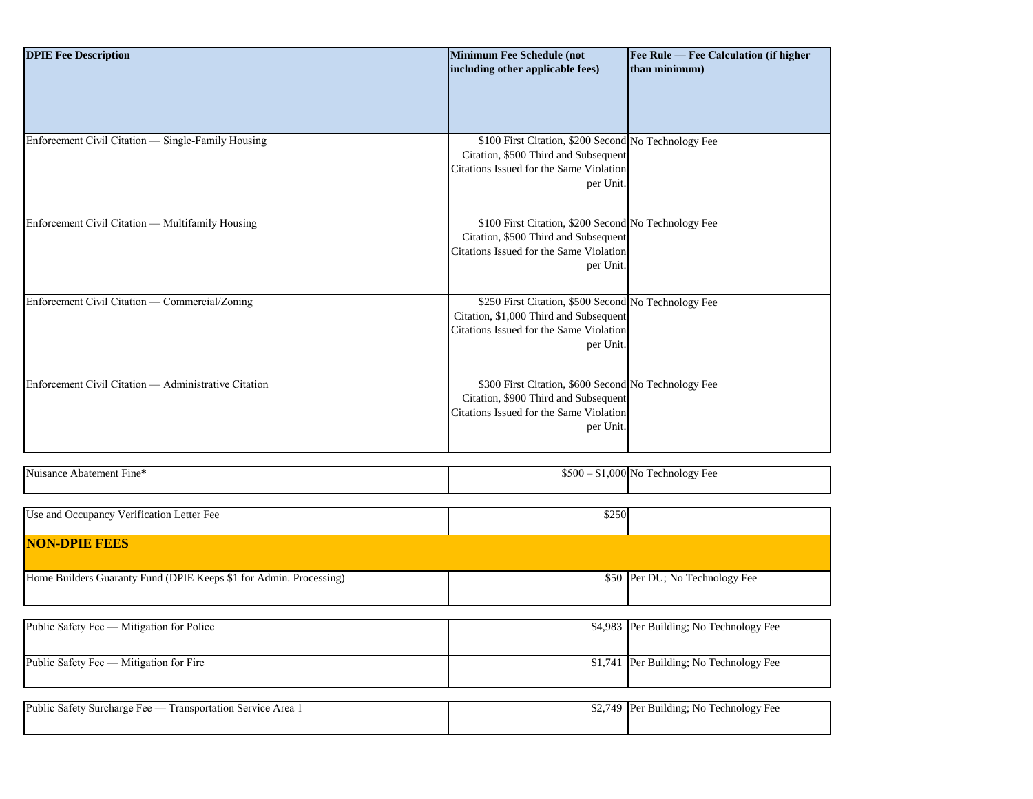| <b>DPIE Fee Description</b>                                        | <b>Minimum Fee Schedule (not</b>                     | Fee Rule - Fee Calculation (if higher   |
|--------------------------------------------------------------------|------------------------------------------------------|-----------------------------------------|
|                                                                    | including other applicable fees)                     | than minimum)                           |
|                                                                    |                                                      |                                         |
|                                                                    |                                                      |                                         |
|                                                                    |                                                      |                                         |
|                                                                    |                                                      |                                         |
|                                                                    |                                                      |                                         |
| Enforcement Civil Citation - Single-Family Housing                 | \$100 First Citation, \$200 Second No Technology Fee |                                         |
|                                                                    | Citation, \$500 Third and Subsequent                 |                                         |
|                                                                    | Citations Issued for the Same Violation              |                                         |
|                                                                    | per Unit.                                            |                                         |
|                                                                    |                                                      |                                         |
|                                                                    |                                                      |                                         |
| Enforcement Civil Citation - Multifamily Housing                   | \$100 First Citation, \$200 Second No Technology Fee |                                         |
|                                                                    | Citation, \$500 Third and Subsequent                 |                                         |
|                                                                    |                                                      |                                         |
|                                                                    | Citations Issued for the Same Violation              |                                         |
|                                                                    | per Unit.                                            |                                         |
|                                                                    |                                                      |                                         |
|                                                                    |                                                      |                                         |
| Enforcement Civil Citation — Commercial/Zoning                     | \$250 First Citation, \$500 Second No Technology Fee |                                         |
|                                                                    | Citation, \$1,000 Third and Subsequent               |                                         |
|                                                                    | Citations Issued for the Same Violation              |                                         |
|                                                                    | per Unit.                                            |                                         |
|                                                                    |                                                      |                                         |
|                                                                    |                                                      |                                         |
| Enforcement Civil Citation — Administrative Citation               | \$300 First Citation, \$600 Second No Technology Fee |                                         |
|                                                                    |                                                      |                                         |
|                                                                    | Citation, \$900 Third and Subsequent                 |                                         |
|                                                                    | Citations Issued for the Same Violation              |                                         |
|                                                                    | per Unit.                                            |                                         |
|                                                                    |                                                      |                                         |
|                                                                    |                                                      |                                         |
|                                                                    |                                                      |                                         |
| Nuisance Abatement Fine*                                           |                                                      | $$500 - $1,000$ No Technology Fee       |
|                                                                    |                                                      |                                         |
|                                                                    |                                                      |                                         |
| Use and Occupancy Verification Letter Fee                          | \$250                                                |                                         |
|                                                                    |                                                      |                                         |
| <b>NON-DPIE FEES</b>                                               |                                                      |                                         |
|                                                                    |                                                      |                                         |
|                                                                    |                                                      |                                         |
| Home Builders Guaranty Fund (DPIE Keeps \$1 for Admin. Processing) |                                                      | \$50 Per DU; No Technology Fee          |
|                                                                    |                                                      |                                         |
|                                                                    |                                                      |                                         |
|                                                                    |                                                      |                                         |
| Public Safety Fee - Mitigation for Police                          |                                                      | \$4,983 Per Building; No Technology Fee |
|                                                                    |                                                      |                                         |
|                                                                    |                                                      |                                         |
| Public Safety Fee - Mitigation for Fire                            |                                                      | \$1,741 Per Building; No Technology Fee |
|                                                                    |                                                      |                                         |

| Public.<br>Area<br>: Safety Surcharge Fee —<br><b>Transportation Service</b> | - IPer<br>740<br>Ψ∸, | $\overline{\phantom{0}}$<br>$-$<br>Technology Fee<br>Building: No |
|------------------------------------------------------------------------------|----------------------|-------------------------------------------------------------------|
|                                                                              |                      |                                                                   |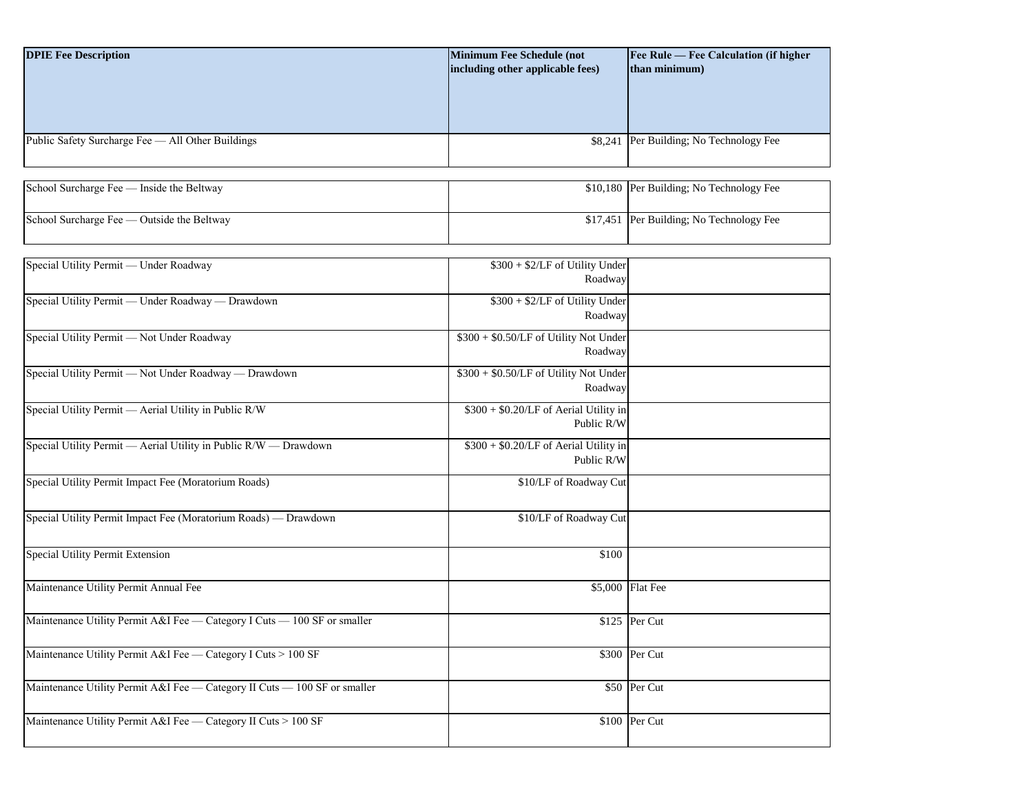| <b>DPIE Fee Description</b>                           | <b>Minimum Fee Schedule (not</b><br>including other applicable fees) | Fee Rule — Fee Calculation (if higher<br>than minimum) |
|-------------------------------------------------------|----------------------------------------------------------------------|--------------------------------------------------------|
|                                                       |                                                                      |                                                        |
| Public Safety Surcharge Fee - All Other Buildings     |                                                                      | \$8,241 Per Building; No Technology Fee                |
| School Surcharge Fee — Inside the Beltway             |                                                                      | \$10,180 Per Building; No Technology Fee               |
| School Surcharge Fee - Outside the Beltway            |                                                                      | \$17,451 Per Building; No Technology Fee               |
|                                                       |                                                                      |                                                        |
| Special Utility Permit - Under Roadway                | \$300 + \$2/LF of Utility Under<br>Roadway                           |                                                        |
| Special Utility Permit - Under Roadway - Drawdown     | \$300 + \$2/LF of Utility Under<br>Roadway                           |                                                        |
| Special Utility Permit - Not Under Roadway            | \$300 + \$0.50/LF of Utility Not Under<br>Roadway                    |                                                        |
| Special Utility Permit - Not Under Roadway - Drawdown | \$300 + \$0.50/LF of Utility Not Under<br>Roadway                    |                                                        |
| Special Utility Permit - Aerial Utility in Public R/W | \$300 + \$0.20/LF of Aerial Utility in<br>Public R/W                 |                                                        |

| $\beta$                                                                   | $\varphi$ , $\varphi$ , $\varphi$ , $\varphi$ , $\varphi$ , $\varphi$ , $\varphi$ , $\varphi$ , $\varphi$ , $\varphi$ , $\varphi$ , $\varphi$ , $\varphi$ , $\varphi$ , $\varphi$ , $\varphi$ , $\varphi$ , $\varphi$ , $\varphi$ , $\varphi$ , $\varphi$ , $\varphi$ , $\varphi$ , $\varphi$ , $\varphi$ , $\varphi$ , $\varphi$ , $\varphi$ , $\varphi$ , $\varphi$ , $\varphi$ , $\varphi$<br>Public R/W |                  |
|---------------------------------------------------------------------------|-------------------------------------------------------------------------------------------------------------------------------------------------------------------------------------------------------------------------------------------------------------------------------------------------------------------------------------------------------------------------------------------------------------|------------------|
| Special Utility Permit — Aerial Utility in Public R/W — Drawdown          | $$300 + $0.20/LF of Aerial Utility in$<br>Public R/W                                                                                                                                                                                                                                                                                                                                                        |                  |
| Special Utility Permit Impact Fee (Moratorium Roads)                      | \$10/LF of Roadway Cut                                                                                                                                                                                                                                                                                                                                                                                      |                  |
| Special Utility Permit Impact Fee (Moratorium Roads) — Drawdown           | \$10/LF of Roadway Cut                                                                                                                                                                                                                                                                                                                                                                                      |                  |
| <b>Special Utility Permit Extension</b>                                   | \$100                                                                                                                                                                                                                                                                                                                                                                                                       |                  |
| Maintenance Utility Permit Annual Fee                                     |                                                                                                                                                                                                                                                                                                                                                                                                             | \$5,000 Flat Fee |
| Maintenance Utility Permit A&I Fee — Category I Cuts — 100 SF or smaller  |                                                                                                                                                                                                                                                                                                                                                                                                             | $$125$ Per Cut   |
| Maintenance Utility Permit A&I Fee — Category I Cuts > 100 SF             |                                                                                                                                                                                                                                                                                                                                                                                                             | \$300 Per Cut    |
| Maintenance Utility Permit A&I Fee — Category II Cuts — 100 SF or smaller |                                                                                                                                                                                                                                                                                                                                                                                                             | \$50 Per Cut     |
| Maintenance Utility Permit A&I Fee — Category II Cuts > 100 SF            |                                                                                                                                                                                                                                                                                                                                                                                                             | \$100 Per Cut    |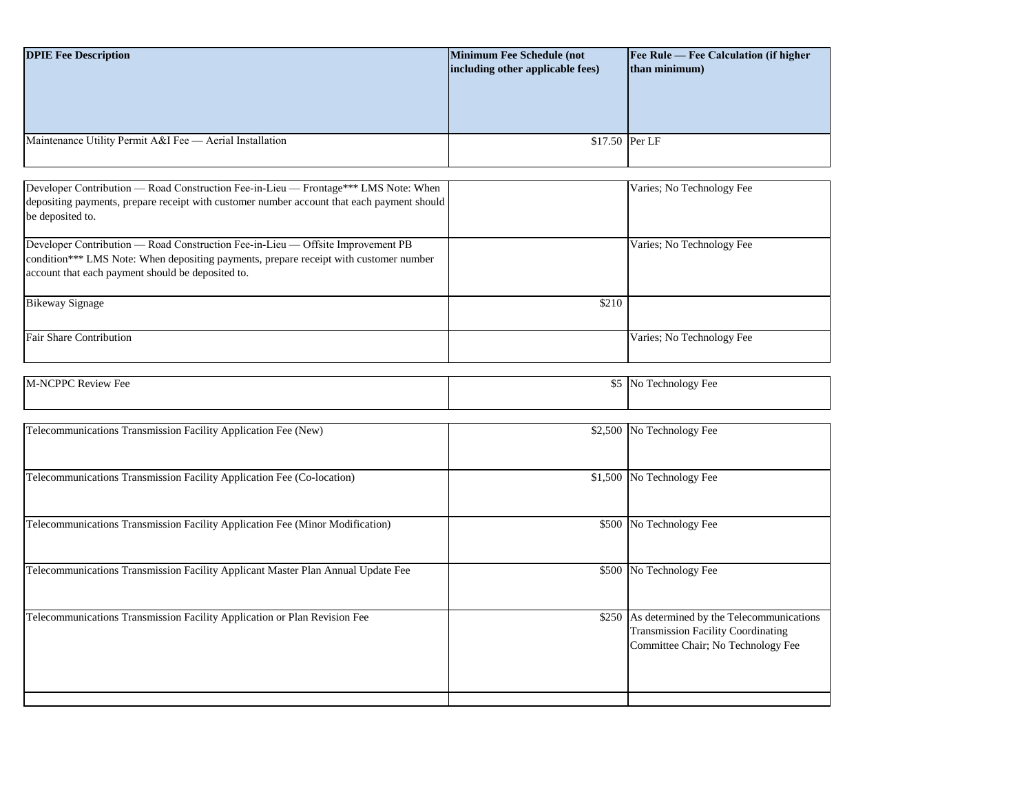| <b>DPIE Fee Description</b>                                                                                                                                                                                                   | <b>Minimum Fee Schedule (not</b><br>including other applicable fees) | Fee Rule - Fee Calculation (if higher<br>than minimum) |  |
|-------------------------------------------------------------------------------------------------------------------------------------------------------------------------------------------------------------------------------|----------------------------------------------------------------------|--------------------------------------------------------|--|
|                                                                                                                                                                                                                               |                                                                      |                                                        |  |
| Maintenance Utility Permit A&I Fee - Aerial Installation                                                                                                                                                                      | \$17.50 Per LF                                                       |                                                        |  |
| Developer Contribution — Road Construction Fee-in-Lieu — Frontage*** LMS Note: When                                                                                                                                           |                                                                      | Varies; No Technology Fee                              |  |
| depositing payments, prepare receipt with customer number account that each payment should<br>be deposited to.                                                                                                                |                                                                      |                                                        |  |
| Developer Contribution - Road Construction Fee-in-Lieu - Offsite Improvement PB<br>condition*** LMS Note: When depositing payments, prepare receipt with customer number<br>account that each payment should be deposited to. |                                                                      | Varies; No Technology Fee                              |  |
| <b>Bikeway Signage</b>                                                                                                                                                                                                        | \$210                                                                |                                                        |  |
| <b>Fair Share Contribution</b>                                                                                                                                                                                                |                                                                      | Varies; No Technology Fee                              |  |
|                                                                                                                                                                                                                               |                                                                      |                                                        |  |
| M-NCPPC Review Fee                                                                                                                                                                                                            |                                                                      | \$5 No Technology Fee                                  |  |
|                                                                                                                                                                                                                               |                                                                      |                                                        |  |
| Telecommunications Transmission Facility Application Fee (New)                                                                                                                                                                |                                                                      | \$2,500 No Technology Fee                              |  |
| Telecommunications Transmission Facility Application Fee (Co-location)                                                                                                                                                        |                                                                      | \$1,500 No Technology Fee                              |  |
| Telecommunications Transmission Facility Application Fee (Minor Modification)                                                                                                                                                 |                                                                      | \$500 No Technology Fee                                |  |
| Telecommunications Transmission Facility Applicant Master Plan Annual Update Fee                                                                                                                                              |                                                                      | \$500 No Technology Fee                                |  |
| Telecommunications Transmission Facility Application or Plan Revision Fee                                                                                                                                                     |                                                                      | \$250 As determined by the Telecommunications          |  |

Transmission Facility Coordinating Committee Chair; No Technology Fee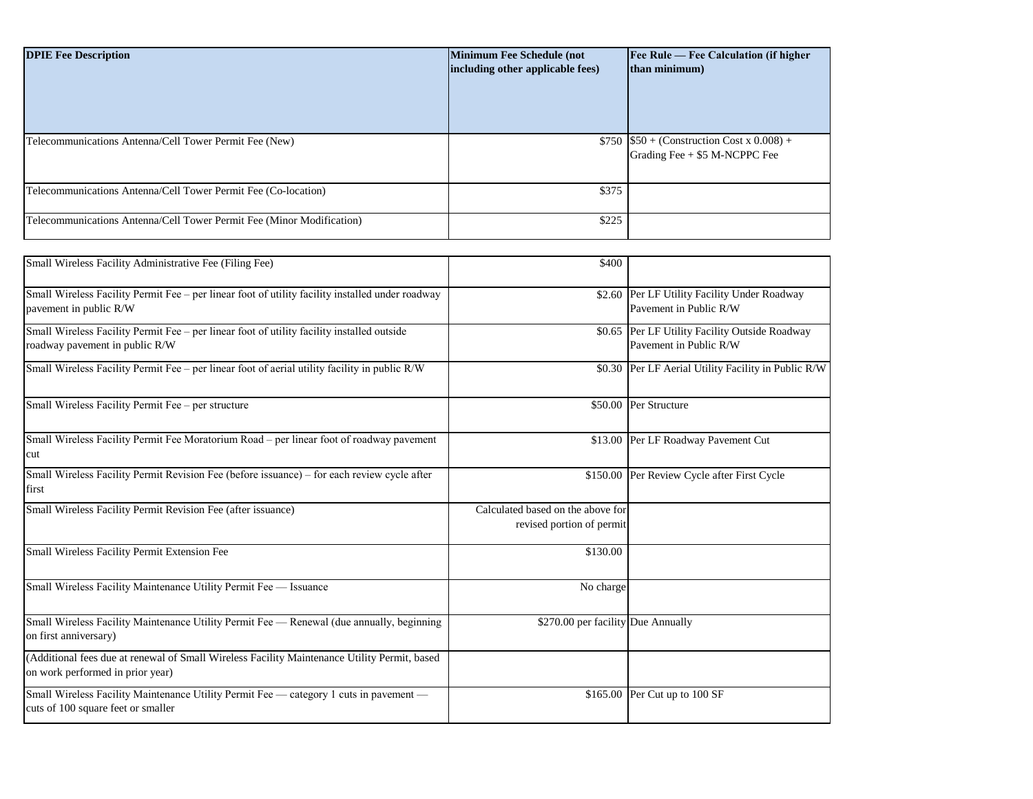| <b>DPIE Fee Description</b>                                           | <b>Minimum Fee Schedule (not</b><br>including other applicable fees) | <b>Fee Rule — Fee Calculation (if higher</b><br>than minimum)                  |
|-----------------------------------------------------------------------|----------------------------------------------------------------------|--------------------------------------------------------------------------------|
| Telecommunications Antenna/Cell Tower Permit Fee (New)                |                                                                      | \$750 $$50 + (Construction Cost x 0.008) +$<br>Grading Fee $+$ \$5 M-NCPPC Fee |
| Telecommunications Antenna/Cell Tower Permit Fee (Co-location)        | \$375                                                                |                                                                                |
| Telecommunications Antenna/Cell Tower Permit Fee (Minor Modification) | \$225                                                                |                                                                                |

| Small Wireless Facility Administrative Fee (Filing Fee)                                                                          | \$400                                                          |                                                                          |
|----------------------------------------------------------------------------------------------------------------------------------|----------------------------------------------------------------|--------------------------------------------------------------------------|
| Small Wireless Facility Permit Fee - per linear foot of utility facility installed under roadway<br>pavement in public R/W       | \$2.60                                                         | Per LF Utility Facility Under Roadway<br>Pavement in Public R/W          |
| Small Wireless Facility Permit Fee - per linear foot of utility facility installed outside<br>roadway pavement in public R/W     |                                                                | \$0.65 Per LF Utility Facility Outside Roadway<br>Pavement in Public R/W |
| Small Wireless Facility Permit Fee – per linear foot of aerial utility facility in public R/W                                    |                                                                | \$0.30 Per LF Aerial Utility Facility in Public R/W                      |
| Small Wireless Facility Permit Fee - per structure                                                                               |                                                                | \$50.00 Per Structure                                                    |
| Small Wireless Facility Permit Fee Moratorium Road – per linear foot of roadway pavement<br>cut                                  | \$13.00                                                        | Per LF Roadway Pavement Cut                                              |
| Small Wireless Facility Permit Revision Fee (before issuance) - for each review cycle after<br>first                             |                                                                | \$150.00 Per Review Cycle after First Cycle                              |
| Small Wireless Facility Permit Revision Fee (after issuance)                                                                     | Calculated based on the above for<br>revised portion of permit |                                                                          |
| Small Wireless Facility Permit Extension Fee                                                                                     | \$130.00                                                       |                                                                          |
| Small Wireless Facility Maintenance Utility Permit Fee - Issuance                                                                | No charge                                                      |                                                                          |
| Small Wireless Facility Maintenance Utility Permit Fee — Renewal (due annually, beginning<br>on first anniversary)               | \$270.00 per facility Due Annually                             |                                                                          |
| (Additional fees due at renewal of Small Wireless Facility Maintenance Utility Permit, based<br>on work performed in prior year) |                                                                |                                                                          |
| Small Wireless Facility Maintenance Utility Permit Fee - category 1 cuts in pavement -<br>cuts of 100 square feet or smaller     | \$165.00                                                       | Per Cut up to 100 SF                                                     |